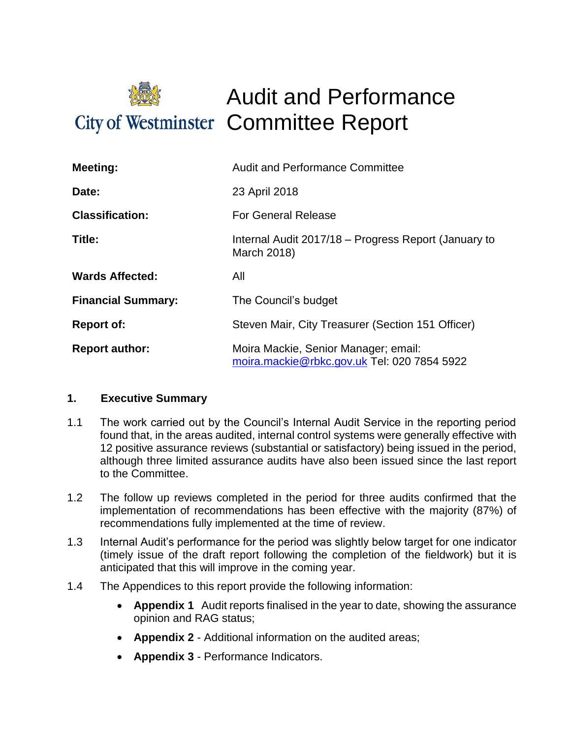

# Audit and Performance City of Westminster Committee Report

| Meeting:                  | <b>Audit and Performance Committee</b>                                              |
|---------------------------|-------------------------------------------------------------------------------------|
| Date:                     | 23 April 2018                                                                       |
| <b>Classification:</b>    | <b>For General Release</b>                                                          |
| Title:                    | Internal Audit 2017/18 – Progress Report (January to<br>March 2018)                 |
| <b>Wards Affected:</b>    | All                                                                                 |
| <b>Financial Summary:</b> | The Council's budget                                                                |
| <b>Report of:</b>         | Steven Mair, City Treasurer (Section 151 Officer)                                   |
| <b>Report author:</b>     | Moira Mackie, Senior Manager; email:<br>moira.mackie@rbkc.gov.uk Tel: 020 7854 5922 |

### **1. Executive Summary**

- 1.1 The work carried out by the Council's Internal Audit Service in the reporting period found that, in the areas audited, internal control systems were generally effective with 12 positive assurance reviews (substantial or satisfactory) being issued in the period, although three limited assurance audits have also been issued since the last report to the Committee.
- 1.2 The follow up reviews completed in the period for three audits confirmed that the implementation of recommendations has been effective with the majority (87%) of recommendations fully implemented at the time of review.
- 1.3 Internal Audit's performance for the period was slightly below target for one indicator (timely issue of the draft report following the completion of the fieldwork) but it is anticipated that this will improve in the coming year.
- 1.4 The Appendices to this report provide the following information:
	- **Appendix 1** Audit reports finalised in the year to date, showing the assurance opinion and RAG status;
	- **Appendix 2**  Additional information on the audited areas;
	- **Appendix 3**  Performance Indicators.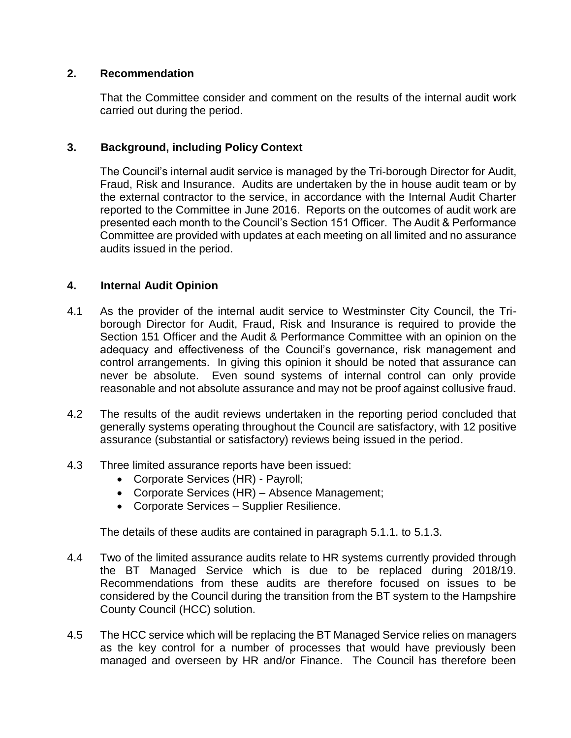### **2. Recommendation**

That the Committee consider and comment on the results of the internal audit work carried out during the period.

# **3. Background, including Policy Context**

The Council's internal audit service is managed by the Tri-borough Director for Audit, Fraud, Risk and Insurance. Audits are undertaken by the in house audit team or by the external contractor to the service, in accordance with the Internal Audit Charter reported to the Committee in June 2016. Reports on the outcomes of audit work are presented each month to the Council's Section 151 Officer. The Audit & Performance Committee are provided with updates at each meeting on all limited and no assurance audits issued in the period.

# **4. Internal Audit Opinion**

- 4.1 As the provider of the internal audit service to Westminster City Council, the Triborough Director for Audit, Fraud, Risk and Insurance is required to provide the Section 151 Officer and the Audit & Performance Committee with an opinion on the adequacy and effectiveness of the Council's governance, risk management and control arrangements. In giving this opinion it should be noted that assurance can never be absolute. Even sound systems of internal control can only provide reasonable and not absolute assurance and may not be proof against collusive fraud.
- 4.2 The results of the audit reviews undertaken in the reporting period concluded that generally systems operating throughout the Council are satisfactory, with 12 positive assurance (substantial or satisfactory) reviews being issued in the period.
- 4.3 Three limited assurance reports have been issued:
	- Corporate Services (HR) Payroll;
	- Corporate Services (HR) Absence Management;
	- Corporate Services Supplier Resilience.

The details of these audits are contained in paragraph 5.1.1. to 5.1.3.

- 4.4 Two of the limited assurance audits relate to HR systems currently provided through the BT Managed Service which is due to be replaced during 2018/19. Recommendations from these audits are therefore focused on issues to be considered by the Council during the transition from the BT system to the Hampshire County Council (HCC) solution.
- 4.5 The HCC service which will be replacing the BT Managed Service relies on managers as the key control for a number of processes that would have previously been managed and overseen by HR and/or Finance. The Council has therefore been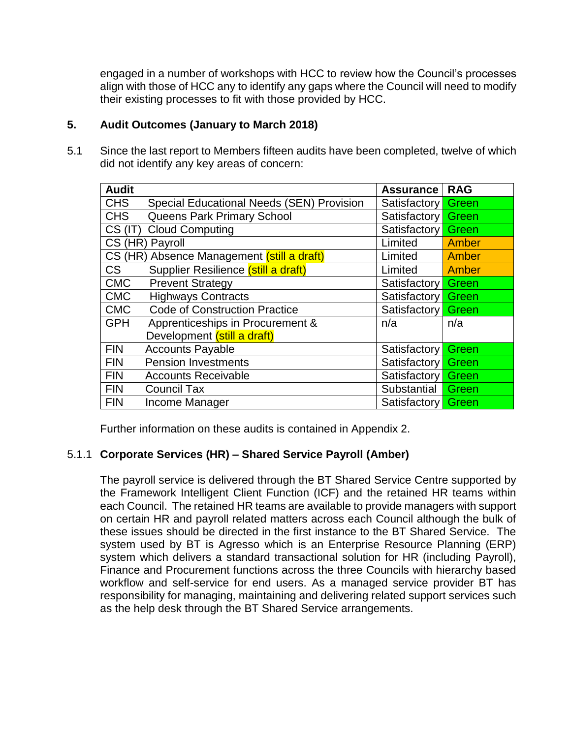engaged in a number of workshops with HCC to review how the Council's processes align with those of HCC any to identify any gaps where the Council will need to modify their existing processes to fit with those provided by HCC.

# **5. Audit Outcomes (January to March 2018)**

5.1 Since the last report to Members fifteen audits have been completed, twelve of which did not identify any key areas of concern:

| <b>Audit</b> |                                            | <b>Assurance</b> | <b>RAG</b> |
|--------------|--------------------------------------------|------------------|------------|
| <b>CHS</b>   | Special Educational Needs (SEN) Provision  | Satisfactory     | Green      |
| <b>CHS</b>   | Queens Park Primary School                 | Satisfactory     | Green      |
| $CS$ (IT)    | <b>Cloud Computing</b>                     | Satisfactory     | Green      |
|              | CS (HR) Payroll                            | Limited          | Amber      |
|              | CS (HR) Absence Management (still a draft) | Limited          | Amber      |
| <b>CS</b>    | Supplier Resilience (still a draft)        | Limited          | Amber      |
| <b>CMC</b>   | <b>Prevent Strategy</b>                    | Satisfactory     | Green      |
| <b>CMC</b>   | <b>Highways Contracts</b>                  | Satisfactory     | Green      |
| <b>CMC</b>   | <b>Code of Construction Practice</b>       | Satisfactory     | Green      |
| <b>GPH</b>   | Apprenticeships in Procurement &           | n/a              | n/a        |
|              | Development (still a draft)                |                  |            |
| <b>FIN</b>   | <b>Accounts Payable</b>                    | Satisfactory     | Green      |
| <b>FIN</b>   | <b>Pension Investments</b>                 | Satisfactory     | Green      |
| <b>FIN</b>   | <b>Accounts Receivable</b>                 | Satisfactory     | Green      |
| <b>FIN</b>   | <b>Council Tax</b>                         | Substantial      | Green      |
| <b>FIN</b>   | Income Manager                             | Satisfactory     | Green      |

Further information on these audits is contained in Appendix 2.

# 5.1.1 **Corporate Services (HR) – Shared Service Payroll (Amber)**

The payroll service is delivered through the BT Shared Service Centre supported by the Framework Intelligent Client Function (ICF) and the retained HR teams within each Council. The retained HR teams are available to provide managers with support on certain HR and payroll related matters across each Council although the bulk of these issues should be directed in the first instance to the BT Shared Service. The system used by BT is Agresso which is an Enterprise Resource Planning (ERP) system which delivers a standard transactional solution for HR (including Payroll), Finance and Procurement functions across the three Councils with hierarchy based workflow and self-service for end users. As a managed service provider BT has responsibility for managing, maintaining and delivering related support services such as the help desk through the BT Shared Service arrangements.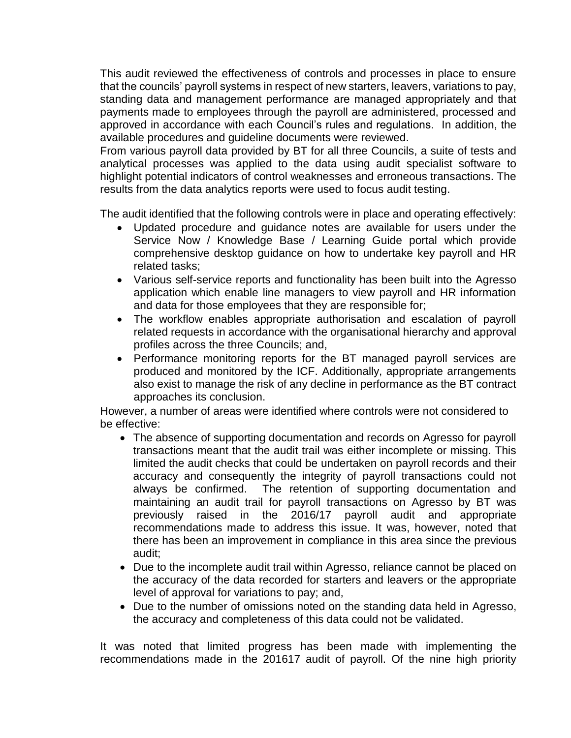This audit reviewed the effectiveness of controls and processes in place to ensure that the councils' payroll systems in respect of new starters, leavers, variations to pay, standing data and management performance are managed appropriately and that payments made to employees through the payroll are administered, processed and approved in accordance with each Council's rules and regulations. In addition, the available procedures and guideline documents were reviewed.

From various payroll data provided by BT for all three Councils, a suite of tests and analytical processes was applied to the data using audit specialist software to highlight potential indicators of control weaknesses and erroneous transactions. The results from the data analytics reports were used to focus audit testing.

The audit identified that the following controls were in place and operating effectively:

- Updated procedure and guidance notes are available for users under the Service Now / Knowledge Base / Learning Guide portal which provide comprehensive desktop guidance on how to undertake key payroll and HR related tasks;
- Various self-service reports and functionality has been built into the Agresso application which enable line managers to view payroll and HR information and data for those employees that they are responsible for;
- The workflow enables appropriate authorisation and escalation of payroll related requests in accordance with the organisational hierarchy and approval profiles across the three Councils; and,
- Performance monitoring reports for the BT managed payroll services are produced and monitored by the ICF. Additionally, appropriate arrangements also exist to manage the risk of any decline in performance as the BT contract approaches its conclusion.

However, a number of areas were identified where controls were not considered to be effective:

- The absence of supporting documentation and records on Agresso for payroll transactions meant that the audit trail was either incomplete or missing. This limited the audit checks that could be undertaken on payroll records and their accuracy and consequently the integrity of payroll transactions could not always be confirmed. The retention of supporting documentation and maintaining an audit trail for payroll transactions on Agresso by BT was previously raised in the 2016/17 payroll audit and appropriate recommendations made to address this issue. It was, however, noted that there has been an improvement in compliance in this area since the previous audit;
- Due to the incomplete audit trail within Agresso, reliance cannot be placed on the accuracy of the data recorded for starters and leavers or the appropriate level of approval for variations to pay; and,
- Due to the number of omissions noted on the standing data held in Agresso, the accuracy and completeness of this data could not be validated.

It was noted that limited progress has been made with implementing the recommendations made in the 201617 audit of payroll. Of the nine high priority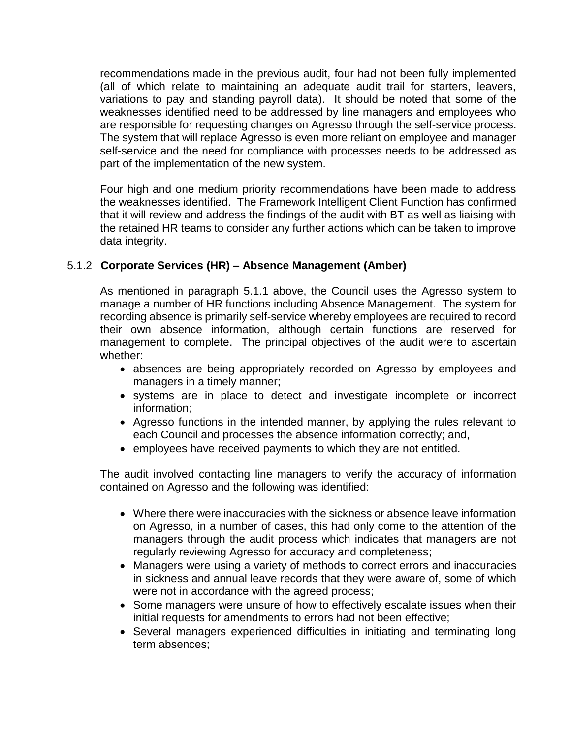recommendations made in the previous audit, four had not been fully implemented (all of which relate to maintaining an adequate audit trail for starters, leavers, variations to pay and standing payroll data). It should be noted that some of the weaknesses identified need to be addressed by line managers and employees who are responsible for requesting changes on Agresso through the self-service process. The system that will replace Agresso is even more reliant on employee and manager self-service and the need for compliance with processes needs to be addressed as part of the implementation of the new system.

Four high and one medium priority recommendations have been made to address the weaknesses identified. The Framework Intelligent Client Function has confirmed that it will review and address the findings of the audit with BT as well as liaising with the retained HR teams to consider any further actions which can be taken to improve data integrity.

# 5.1.2 **Corporate Services (HR) – Absence Management (Amber)**

As mentioned in paragraph 5.1.1 above, the Council uses the Agresso system to manage a number of HR functions including Absence Management. The system for recording absence is primarily self-service whereby employees are required to record their own absence information, although certain functions are reserved for management to complete. The principal objectives of the audit were to ascertain whether:

- absences are being appropriately recorded on Agresso by employees and managers in a timely manner;
- systems are in place to detect and investigate incomplete or incorrect information;
- Agresso functions in the intended manner, by applying the rules relevant to each Council and processes the absence information correctly; and,
- employees have received payments to which they are not entitled.

The audit involved contacting line managers to verify the accuracy of information contained on Agresso and the following was identified:

- Where there were inaccuracies with the sickness or absence leave information on Agresso, in a number of cases, this had only come to the attention of the managers through the audit process which indicates that managers are not regularly reviewing Agresso for accuracy and completeness;
- Managers were using a variety of methods to correct errors and inaccuracies in sickness and annual leave records that they were aware of, some of which were not in accordance with the agreed process;
- Some managers were unsure of how to effectively escalate issues when their initial requests for amendments to errors had not been effective;
- Several managers experienced difficulties in initiating and terminating long term absences;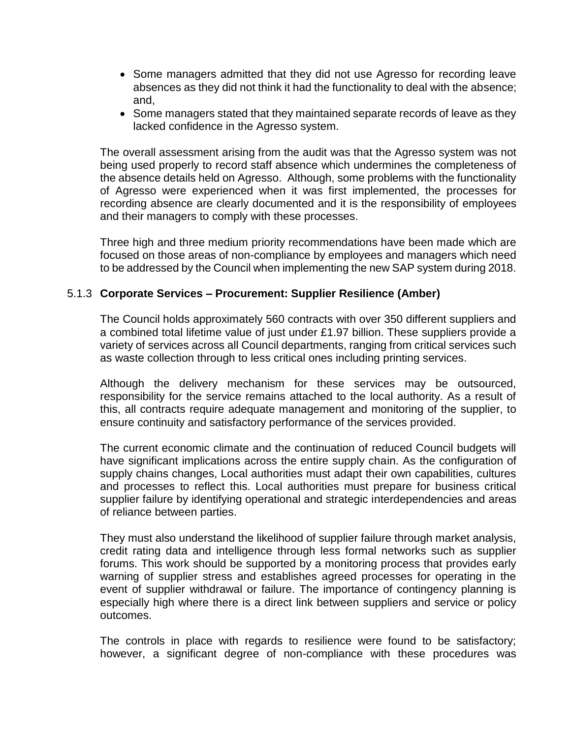- Some managers admitted that they did not use Agresso for recording leave absences as they did not think it had the functionality to deal with the absence; and,
- Some managers stated that they maintained separate records of leave as they lacked confidence in the Agresso system.

The overall assessment arising from the audit was that the Agresso system was not being used properly to record staff absence which undermines the completeness of the absence details held on Agresso. Although, some problems with the functionality of Agresso were experienced when it was first implemented, the processes for recording absence are clearly documented and it is the responsibility of employees and their managers to comply with these processes.

Three high and three medium priority recommendations have been made which are focused on those areas of non-compliance by employees and managers which need to be addressed by the Council when implementing the new SAP system during 2018.

# 5.1.3 **Corporate Services – Procurement: Supplier Resilience (Amber)**

The Council holds approximately 560 contracts with over 350 different suppliers and a combined total lifetime value of just under £1.97 billion. These suppliers provide a variety of services across all Council departments, ranging from critical services such as waste collection through to less critical ones including printing services.

Although the delivery mechanism for these services may be outsourced, responsibility for the service remains attached to the local authority. As a result of this, all contracts require adequate management and monitoring of the supplier, to ensure continuity and satisfactory performance of the services provided.

The current economic climate and the continuation of reduced Council budgets will have significant implications across the entire supply chain. As the configuration of supply chains changes, Local authorities must adapt their own capabilities, cultures and processes to reflect this. Local authorities must prepare for business critical supplier failure by identifying operational and strategic interdependencies and areas of reliance between parties.

They must also understand the likelihood of supplier failure through market analysis, credit rating data and intelligence through less formal networks such as supplier forums. This work should be supported by a monitoring process that provides early warning of supplier stress and establishes agreed processes for operating in the event of supplier withdrawal or failure. The importance of contingency planning is especially high where there is a direct link between suppliers and service or policy outcomes.

The controls in place with regards to resilience were found to be satisfactory; however, a significant degree of non-compliance with these procedures was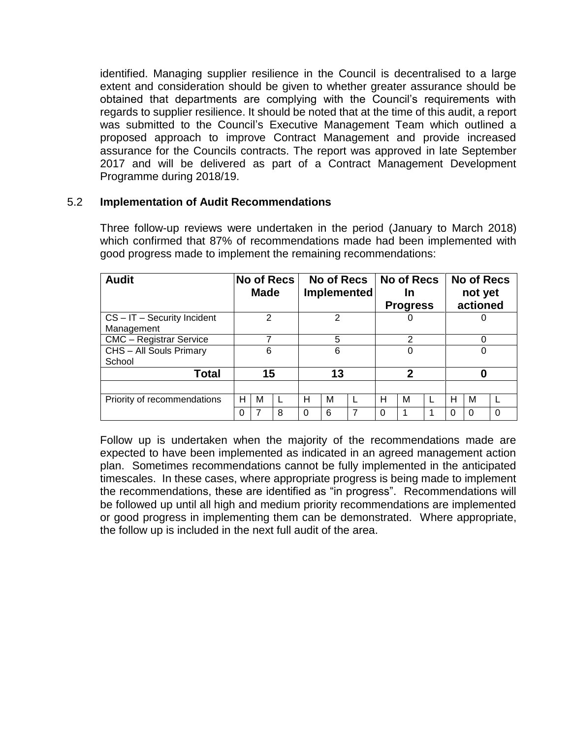identified. Managing supplier resilience in the Council is decentralised to a large extent and consideration should be given to whether greater assurance should be obtained that departments are complying with the Council's requirements with regards to supplier resilience. It should be noted that at the time of this audit, a report was submitted to the Council's Executive Management Team which outlined a proposed approach to improve Contract Management and provide increased assurance for the Councils contracts. The report was approved in late September 2017 and will be delivered as part of a Contract Management Development Programme during 2018/19.

### 5.2 **Implementation of Audit Recommendations**

| <b>Audit</b>                                |   | <b>Made</b> | <b>No of Recs</b> |                |   | No of Recs   No of Recs<br>Implemented |   | In<br><b>Progress</b> |   |   | <b>No of Recs</b><br>not yet<br>actioned |   |
|---------------------------------------------|---|-------------|-------------------|----------------|---|----------------------------------------|---|-----------------------|---|---|------------------------------------------|---|
| $CS - IT - Security$ Incident<br>Management |   | 2           |                   | $\overline{2}$ |   |                                        |   |                       | U |   |                                          |   |
| <b>CMC</b> - Registrar Service              |   |             |                   | 5              |   | $\mathfrak{p}$                         |   | 0                     |   |   |                                          |   |
| CHS - All Souls Primary<br>School           |   | 6           |                   | 6              |   | 0                                      |   |                       | O |   |                                          |   |
| <b>Total</b>                                |   | 15          |                   | 13             |   | 2                                      |   |                       | 0 |   |                                          |   |
|                                             |   |             |                   |                |   |                                        |   |                       |   |   |                                          |   |
| Priority of recommendations                 | н | М           |                   | н              | М |                                        | н | М                     |   | н | м                                        |   |
|                                             | 0 |             | 8                 |                | 6 |                                        | 0 |                       |   | 0 | 0                                        | 0 |

Three follow-up reviews were undertaken in the period (January to March 2018) which confirmed that 87% of recommendations made had been implemented with good progress made to implement the remaining recommendations:

Follow up is undertaken when the majority of the recommendations made are expected to have been implemented as indicated in an agreed management action plan. Sometimes recommendations cannot be fully implemented in the anticipated timescales. In these cases, where appropriate progress is being made to implement the recommendations, these are identified as "in progress". Recommendations will be followed up until all high and medium priority recommendations are implemented or good progress in implementing them can be demonstrated. Where appropriate, the follow up is included in the next full audit of the area.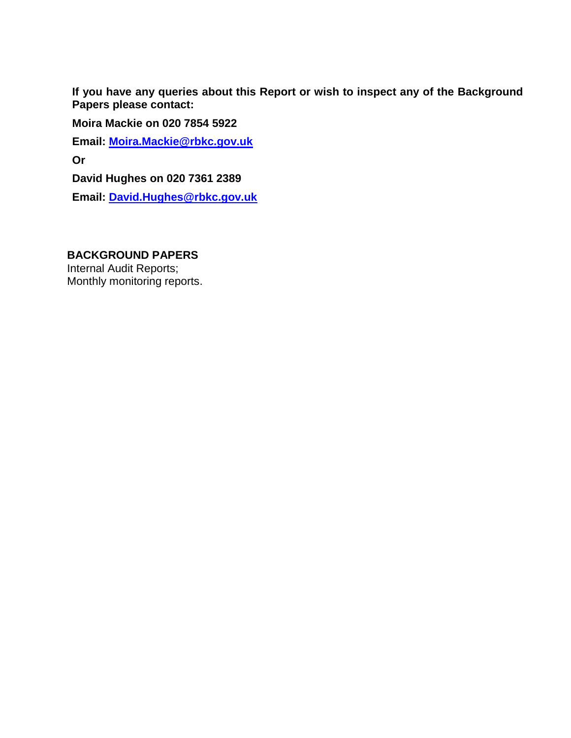**If you have any queries about this Report or wish to inspect any of the Background Papers please contact:**

**Moira Mackie on 020 7854 5922**

**Email: [Moira.Mackie@rbkc.gov.uk](mailto:Moira.Mackie@rbkc.gov.uk)**

**Or**

**David Hughes on 020 7361 2389**

**Email: [David.Hughes@rbkc.gov.uk](mailto:David.Hughes@rbkc.gov.uk)**

### **BACKGROUND PAPERS**

Internal Audit Reports; Monthly monitoring reports.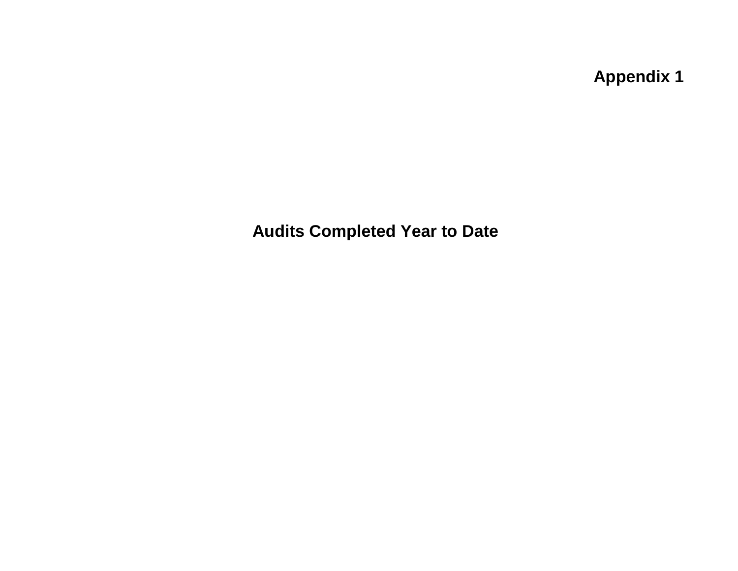**Appendix 1** 

**Audits Completed Year to Date**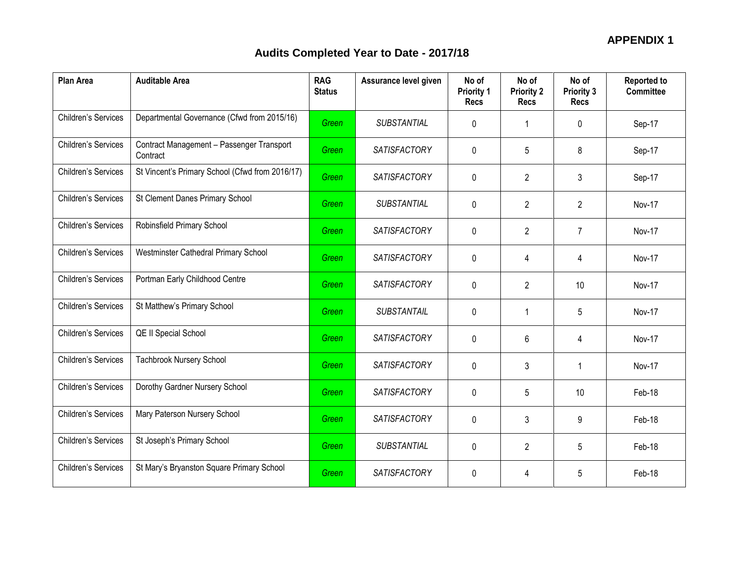| <b>Plan Area</b>           | <b>Auditable Area</b>                                 | <b>RAG</b><br><b>Status</b> | Assurance level given | No of<br><b>Priority 1</b><br><b>Recs</b> | No of<br><b>Priority 2</b><br><b>Recs</b> | No of<br>Priority 3<br><b>Recs</b> | <b>Reported to</b><br><b>Committee</b> |
|----------------------------|-------------------------------------------------------|-----------------------------|-----------------------|-------------------------------------------|-------------------------------------------|------------------------------------|----------------------------------------|
| <b>Children's Services</b> | Departmental Governance (Cfwd from 2015/16)           | Green                       | <b>SUBSTANTIAL</b>    | $\Omega$                                  | 1                                         | 0                                  | Sep-17                                 |
| Children's Services        | Contract Management - Passenger Transport<br>Contract | Green                       | <b>SATISFACTORY</b>   | 0                                         | 5                                         | 8                                  | Sep-17                                 |
| <b>Children's Services</b> | St Vincent's Primary School (Cfwd from 2016/17)       | Green                       | <b>SATISFACTORY</b>   | $\mathbf 0$                               | $\overline{2}$                            | 3                                  | Sep-17                                 |
| Children's Services        | St Clement Danes Primary School                       | Green                       | SUBSTANTIAL           | $\mathbf 0$                               | $\overline{2}$                            | $\overline{2}$                     | Nov-17                                 |
| Children's Services        | Robinsfield Primary School                            | Green                       | <b>SATISFACTORY</b>   | $\mathbf 0$                               | $\overline{2}$                            | $\overline{7}$                     | Nov-17                                 |
| Children's Services        | Westminster Cathedral Primary School                  | Green                       | <b>SATISFACTORY</b>   | 0                                         | 4                                         | 4                                  | Nov-17                                 |
| Children's Services        | Portman Early Childhood Centre                        | Green                       | <b>SATISFACTORY</b>   | $\mathbf 0$                               | $\overline{2}$                            | 10                                 | Nov-17                                 |
| Children's Services        | St Matthew's Primary School                           | Green                       | SUBSTANTAIL           | $\Omega$                                  | 1                                         | 5                                  | Nov-17                                 |
| Children's Services        | <b>QE II Special School</b>                           | Green                       | <b>SATISFACTORY</b>   | $\mathbf 0$                               | 6                                         | 4                                  | Nov-17                                 |
| Children's Services        | <b>Tachbrook Nursery School</b>                       | Green                       | <b>SATISFACTORY</b>   | 0                                         | 3                                         | 1                                  | Nov-17                                 |
| Children's Services        | Dorothy Gardner Nursery School                        | Green                       | <b>SATISFACTORY</b>   | $\mathbf 0$                               | 5                                         | 10                                 | Feb-18                                 |
| Children's Services        | Mary Paterson Nursery School                          | Green                       | <b>SATISFACTORY</b>   | $\mathbf{0}$                              | 3                                         | 9                                  | Feb-18                                 |
| <b>Children's Services</b> | St Joseph's Primary School                            | Green                       | SUBSTANTIAL           | 0                                         | $\overline{2}$                            | 5                                  | Feb-18                                 |
| Children's Services        | St Mary's Bryanston Square Primary School             | Green                       | <b>SATISFACTORY</b>   | 0                                         | 4                                         | 5                                  | Feb-18                                 |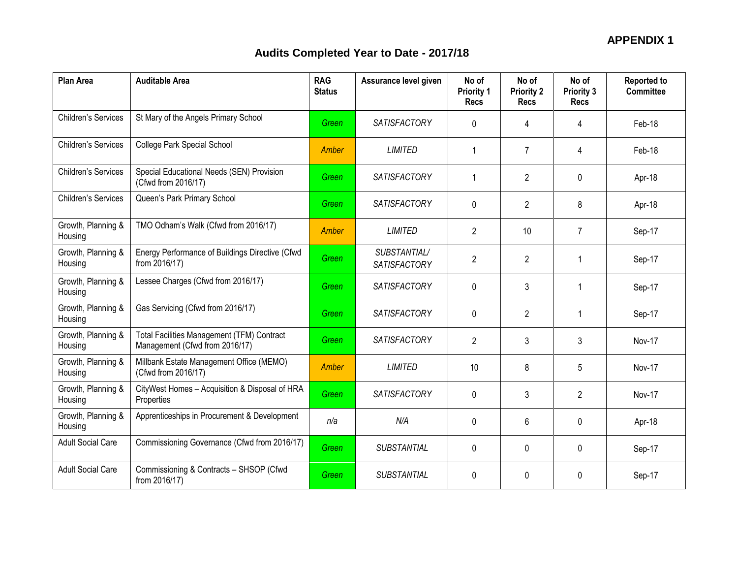| <b>Plan Area</b>              | <b>Auditable Area</b>                                                               | <b>RAG</b><br><b>Status</b> | Assurance level given               | No of<br><b>Priority 1</b><br><b>Recs</b> | No of<br><b>Priority 2</b><br><b>Recs</b> | No of<br><b>Priority 3</b><br><b>Recs</b> | <b>Reported to</b><br><b>Committee</b> |
|-------------------------------|-------------------------------------------------------------------------------------|-----------------------------|-------------------------------------|-------------------------------------------|-------------------------------------------|-------------------------------------------|----------------------------------------|
| <b>Children's Services</b>    | St Mary of the Angels Primary School                                                | Green                       | <b>SATISFACTORY</b>                 | $\Omega$                                  | 4                                         | 4                                         | Feb-18                                 |
| Children's Services           | College Park Special School                                                         | Amber                       | <b>LIMITED</b>                      | $\mathbf{1}$                              | $\overline{7}$                            | 4                                         | Feb-18                                 |
| Children's Services           | Special Educational Needs (SEN) Provision<br>(Cfwd from 2016/17)                    | <b>Green</b>                | <b>SATISFACTORY</b>                 | $\mathbf{1}$                              | $\overline{2}$                            | 0                                         | Apr-18                                 |
| <b>Children's Services</b>    | Queen's Park Primary School                                                         | Green                       | <b>SATISFACTORY</b>                 | $\Omega$                                  | $\overline{2}$                            | 8                                         | Apr-18                                 |
| Growth, Planning &<br>Housing | TMO Odham's Walk (Cfwd from 2016/17)                                                | Amber                       | <b>LIMITED</b>                      | $\overline{2}$                            | 10                                        | $\overline{7}$                            | Sep-17                                 |
| Growth, Planning &<br>Housing | Energy Performance of Buildings Directive (Cfwd<br>from 2016/17)                    | Green                       | SUBSTANTIAL/<br><b>SATISFACTORY</b> | $\overline{2}$                            | $\overline{2}$                            | 1                                         | Sep-17                                 |
| Growth, Planning &<br>Housing | Lessee Charges (Cfwd from 2016/17)                                                  | Green                       | <b>SATISFACTORY</b>                 | $\mathbf 0$                               | 3                                         | 1                                         | Sep-17                                 |
| Growth, Planning &<br>Housing | Gas Servicing (Cfwd from 2016/17)                                                   | Green                       | <b>SATISFACTORY</b>                 | 0                                         | $\overline{2}$                            | 1                                         | Sep-17                                 |
| Growth, Planning &<br>Housing | <b>Total Facilities Management (TFM) Contract</b><br>Management (Cfwd from 2016/17) | Green                       | <b>SATISFACTORY</b>                 | $\overline{2}$                            | 3                                         | 3                                         | Nov-17                                 |
| Growth, Planning &<br>Housing | Millbank Estate Management Office (MEMO)<br>(Cfwd from 2016/17)                     | Amber                       | LIMITED                             | 10                                        | 8                                         | 5                                         | <b>Nov-17</b>                          |
| Growth, Planning &<br>Housing | CityWest Homes - Acquisition & Disposal of HRA<br>Properties                        | <b>Green</b>                | <b>SATISFACTORY</b>                 | $\mathbf{0}$                              | 3                                         | $\overline{2}$                            | Nov-17                                 |
| Growth, Planning &<br>Housing | Apprenticeships in Procurement & Development                                        | n/a                         | N/A                                 | 0                                         | 6                                         | 0                                         | Apr-18                                 |
| <b>Adult Social Care</b>      | Commissioning Governance (Cfwd from 2016/17)                                        | Green                       | SUBSTANTIAL                         | 0                                         | 0                                         | 0                                         | Sep-17                                 |
| <b>Adult Social Care</b>      | Commissioning & Contracts - SHSOP (Cfwd<br>from 2016/17)                            | Green                       | SUBSTANTIAL                         | $\mathbf{0}$                              | 0                                         | 0                                         | Sep-17                                 |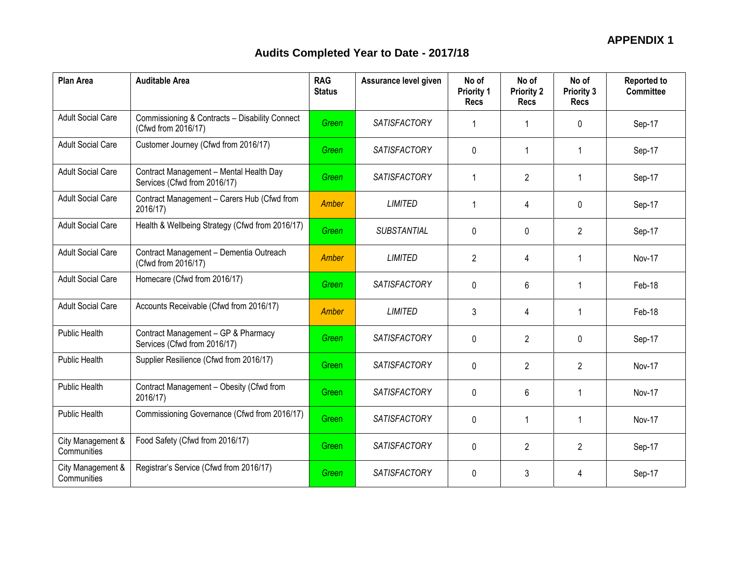| <b>Plan Area</b>                 | <b>Auditable Area</b>                                                   | <b>RAG</b><br><b>Status</b> | Assurance level given | No of<br><b>Priority 1</b><br><b>Recs</b> | No of<br><b>Priority 2</b><br>Recs | No of<br><b>Priority 3</b><br><b>Recs</b> | <b>Reported to</b><br><b>Committee</b> |
|----------------------------------|-------------------------------------------------------------------------|-----------------------------|-----------------------|-------------------------------------------|------------------------------------|-------------------------------------------|----------------------------------------|
| <b>Adult Social Care</b>         | Commissioning & Contracts - Disability Connect<br>(Cfwd from 2016/17)   | Green                       | <b>SATISFACTORY</b>   | -1                                        | -1                                 | 0                                         | Sep-17                                 |
| <b>Adult Social Care</b>         | Customer Journey (Cfwd from 2016/17)                                    | Green                       | <b>SATISFACTORY</b>   | 0                                         | $\mathbf 1$                        | $\mathbf 1$                               | Sep-17                                 |
| <b>Adult Social Care</b>         | Contract Management - Mental Health Day<br>Services (Cfwd from 2016/17) | Green                       | <b>SATISFACTORY</b>   | $\mathbf 1$                               | $\overline{2}$                     | $\mathbf 1$                               | Sep-17                                 |
| <b>Adult Social Care</b>         | Contract Management - Carers Hub (Cfwd from<br>2016/17)                 | Amber                       | <b>LIMITED</b>        | $\mathbf 1$                               | 4                                  | 0                                         | Sep-17                                 |
| <b>Adult Social Care</b>         | Health & Wellbeing Strategy (Cfwd from 2016/17)                         | Green                       | <b>SUBSTANTIAL</b>    | $\Omega$                                  | $\Omega$                           | $\overline{2}$                            | Sep-17                                 |
| <b>Adult Social Care</b>         | Contract Management - Dementia Outreach<br>(Cfwd from 2016/17)          | <b>Amber</b>                | <b>LIMITED</b>        | $\overline{2}$                            | 4                                  | 1                                         | <b>Nov-17</b>                          |
| <b>Adult Social Care</b>         | Homecare (Cfwd from 2016/17)                                            | Green                       | <b>SATISFACTORY</b>   | 0                                         | 6                                  | 1                                         | Feb-18                                 |
| <b>Adult Social Care</b>         | Accounts Receivable (Cfwd from 2016/17)                                 | <b>Amber</b>                | <b>LIMITED</b>        | 3                                         | 4                                  | 1                                         | Feb-18                                 |
| Public Health                    | Contract Management - GP & Pharmacy<br>Services (Cfwd from 2016/17)     | Green                       | <b>SATISFACTORY</b>   | $\mathbf 0$                               | $\overline{2}$                     | $\Omega$                                  | Sep-17                                 |
| Public Health                    | Supplier Resilience (Cfwd from 2016/17)                                 | Green                       | <b>SATISFACTORY</b>   | 0                                         | $\overline{2}$                     | $\overline{2}$                            | Nov-17                                 |
| Public Health                    | Contract Management - Obesity (Cfwd from<br>2016/17)                    | Green                       | <b>SATISFACTORY</b>   | $\Omega$                                  | 6                                  | $\mathbf{1}$                              | Nov-17                                 |
| Public Health                    | Commissioning Governance (Cfwd from 2016/17)                            | Green                       | <b>SATISFACTORY</b>   | $\mathbf{0}$                              | 1                                  | 1                                         | Nov-17                                 |
| City Management &<br>Communities | Food Safety (Cfwd from 2016/17)                                         | Green                       | <b>SATISFACTORY</b>   | 0                                         | $\overline{2}$                     | $\overline{2}$                            | Sep-17                                 |
| City Management &<br>Communities | Registrar's Service (Cfwd from 2016/17)                                 | Green                       | <b>SATISFACTORY</b>   | $\mathbf 0$                               | 3                                  | 4                                         | Sep-17                                 |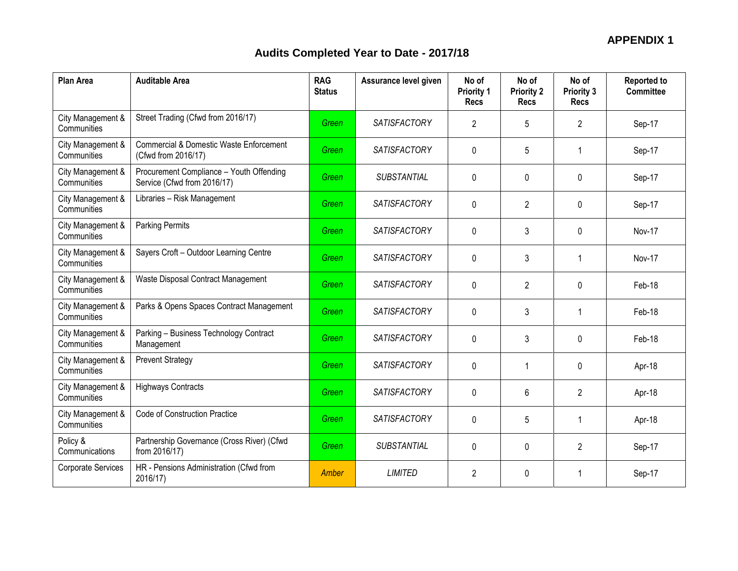| <b>Plan Area</b>                 | <b>Auditable Area</b>                                                     | <b>RAG</b><br><b>Status</b> | Assurance level given | No of<br><b>Priority 1</b><br><b>Recs</b> | No of<br><b>Priority 2</b><br><b>Recs</b> | No of<br><b>Priority 3</b><br><b>Recs</b> | <b>Reported to</b><br><b>Committee</b> |
|----------------------------------|---------------------------------------------------------------------------|-----------------------------|-----------------------|-------------------------------------------|-------------------------------------------|-------------------------------------------|----------------------------------------|
| City Management &<br>Communities | Street Trading (Cfwd from 2016/17)                                        | Green                       | <b>SATISFACTORY</b>   | 2                                         | 5                                         | 2                                         | Sep-17                                 |
| City Management &<br>Communities | <b>Commercial &amp; Domestic Waste Enforcement</b><br>(Cfwd from 2016/17) | Green                       | <b>SATISFACTORY</b>   | 0                                         | 5                                         | 1                                         | Sep-17                                 |
| City Management &<br>Communities | Procurement Compliance - Youth Offending<br>Service (Cfwd from 2016/17)   | Green                       | SUBSTANTIAL           | $\mathbf 0$                               | 0                                         | 0                                         | Sep-17                                 |
| City Management &<br>Communities | Libraries - Risk Management                                               | Green                       | <b>SATISFACTORY</b>   | 0                                         | $\overline{2}$                            | 0                                         | Sep-17                                 |
| City Management &<br>Communities | <b>Parking Permits</b>                                                    | Green                       | <b>SATISFACTORY</b>   | $\mathbf{0}$                              | 3                                         | 0                                         | Nov-17                                 |
| City Management &<br>Communities | Sayers Croft - Outdoor Learning Centre                                    | Green                       | <b>SATISFACTORY</b>   | $\mathbf 0$                               | 3                                         | 1                                         | Nov-17                                 |
| City Management &<br>Communities | Waste Disposal Contract Management                                        | Green                       | <b>SATISFACTORY</b>   | $\mathbf 0$                               | 2                                         | 0                                         | Feb-18                                 |
| City Management &<br>Communities | Parks & Opens Spaces Contract Management                                  | Green                       | <b>SATISFACTORY</b>   | $\Omega$                                  | 3                                         | 1                                         | Feb-18                                 |
| City Management &<br>Communities | Parking - Business Technology Contract<br>Management                      | Green                       | <b>SATISFACTORY</b>   | $\mathbf 0$                               | 3                                         | 0                                         | Feb-18                                 |
| City Management &<br>Communities | <b>Prevent Strategy</b>                                                   | Green                       | <b>SATISFACTORY</b>   | $\mathbf{0}$                              | 1                                         | 0                                         | Apr-18                                 |
| City Management &<br>Communities | <b>Highways Contracts</b>                                                 | Green                       | <b>SATISFACTORY</b>   | $\mathbf 0$                               | 6                                         | $\mathbf{2}$                              | Apr-18                                 |
| City Management &<br>Communities | Code of Construction Practice                                             | Green                       | <b>SATISFACTORY</b>   | $\mathbf{0}$                              | 5                                         | 1                                         | Apr-18                                 |
| Policy &<br>Communications       | Partnership Governance (Cross River) (Cfwd<br>from 2016/17)               | Green                       | <b>SUBSTANTIAL</b>    | 0                                         | $\mathbf 0$                               | 2                                         | Sep-17                                 |
| Corporate Services               | HR - Pensions Administration (Cfwd from<br>2016/17)                       | <b>Amber</b>                | <b>LIMITED</b>        | $\overline{2}$                            | 0                                         | 1                                         | Sep-17                                 |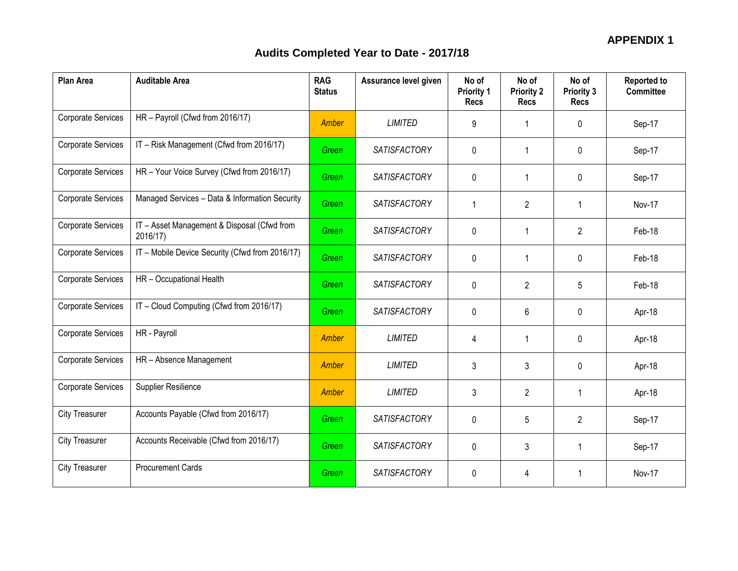| <b>Plan Area</b>          | <b>Auditable Area</b>                                   | <b>RAG</b><br><b>Status</b> | Assurance level given | No of<br><b>Priority 1</b><br><b>Recs</b> | No of<br><b>Priority 2</b><br><b>Recs</b> | No of<br><b>Priority 3</b><br><b>Recs</b> | <b>Reported to</b><br><b>Committee</b> |
|---------------------------|---------------------------------------------------------|-----------------------------|-----------------------|-------------------------------------------|-------------------------------------------|-------------------------------------------|----------------------------------------|
| <b>Corporate Services</b> | HR - Payroll (Cfwd from 2016/17)                        | Amber                       | <b>LIMITED</b>        | 9                                         |                                           | 0                                         | Sep-17                                 |
| <b>Corporate Services</b> | IT - Risk Management (Cfwd from 2016/17)                | Green                       | <b>SATISFACTORY</b>   | 0                                         |                                           | 0                                         | Sep-17                                 |
| <b>Corporate Services</b> | HR - Your Voice Survey (Cfwd from 2016/17)              | Green                       | <b>SATISFACTORY</b>   | 0                                         |                                           | 0                                         | Sep-17                                 |
| <b>Corporate Services</b> | Managed Services - Data & Information Security          | Green                       | <b>SATISFACTORY</b>   | $\mathbf{1}$                              | $\overline{2}$                            | $\mathbf{1}$                              | Nov-17                                 |
| Corporate Services        | IT - Asset Management & Disposal (Cfwd from<br>2016/17) | Green                       | <b>SATISFACTORY</b>   | $\mathbf 0$                               | -1                                        | $\overline{2}$                            | Feb-18                                 |
| <b>Corporate Services</b> | IT - Mobile Device Security (Cfwd from 2016/17)         | Green                       | <b>SATISFACTORY</b>   | 0                                         |                                           | 0                                         | Feb-18                                 |
| Corporate Services        | HR - Occupational Health                                | Green                       | <b>SATISFACTORY</b>   | 0                                         | $\overline{2}$                            | 5                                         | Feb-18                                 |
| <b>Corporate Services</b> | IT - Cloud Computing (Cfwd from 2016/17)                | Green                       | <b>SATISFACTORY</b>   | $\Omega$                                  | 6                                         | 0                                         | Apr-18                                 |
| Corporate Services        | HR - Payroll                                            | Amber                       | <b>LIMITED</b>        | $\overline{4}$                            | 1                                         | 0                                         | Apr-18                                 |
| <b>Corporate Services</b> | HR - Absence Management                                 | Amber                       | <b>LIMITED</b>        | 3                                         | 3                                         | 0                                         | Apr-18                                 |
| Corporate Services        | Supplier Resilience                                     | <b>Amber</b>                | <b>LIMITED</b>        | 3                                         | $\overline{2}$                            | $\mathbf{1}$                              | Apr-18                                 |
| <b>City Treasurer</b>     | Accounts Payable (Cfwd from 2016/17)                    | Green                       | <b>SATISFACTORY</b>   | 0                                         | 5                                         | 2                                         | Sep-17                                 |
| <b>City Treasurer</b>     | Accounts Receivable (Cfwd from 2016/17)                 | Green                       | <b>SATISFACTORY</b>   | 0                                         | 3                                         | $\mathbf{1}$                              | Sep-17                                 |
| <b>City Treasurer</b>     | <b>Procurement Cards</b>                                | Green                       | <b>SATISFACTORY</b>   | $\mathbf 0$                               | 4                                         | 1                                         | Nov-17                                 |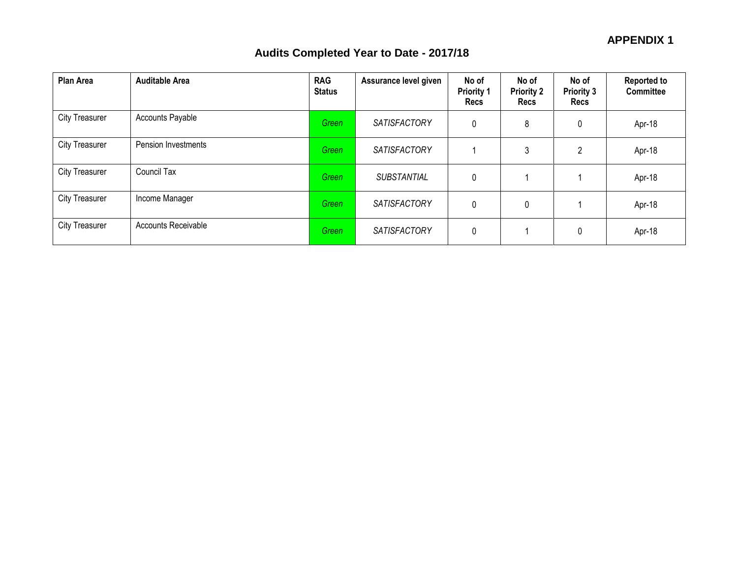| <b>Plan Area</b>      | <b>Auditable Area</b> | <b>RAG</b><br><b>Status</b> | Assurance level given | No of<br><b>Priority 1</b><br><b>Recs</b> | No of<br><b>Priority 2</b><br>Recs | No of<br><b>Priority 3</b><br><b>Recs</b> | <b>Reported to</b><br><b>Committee</b> |
|-----------------------|-----------------------|-----------------------------|-----------------------|-------------------------------------------|------------------------------------|-------------------------------------------|----------------------------------------|
| <b>City Treasurer</b> | Accounts Payable      | Green                       | <b>SATISFACTORY</b>   | $\mathbf 0$                               | 8                                  | $\mathbf 0$                               | Apr-18                                 |
| <b>City Treasurer</b> | Pension Investments   | Green                       | SATISFACTORY          |                                           | 3                                  | $\overline{2}$                            | Apr-18                                 |
| <b>City Treasurer</b> | Council Tax           | Green                       | SUBSTANTIAL           | $\mathbf 0$                               |                                    |                                           | Apr-18                                 |
| <b>City Treasurer</b> | Income Manager        | Green                       | <b>SATISFACTORY</b>   | 0                                         | 0                                  |                                           | Apr-18                                 |
| <b>City Treasurer</b> | Accounts Receivable   | Green                       | SATISFACTORY          | 0                                         |                                    | 0                                         | Apr-18                                 |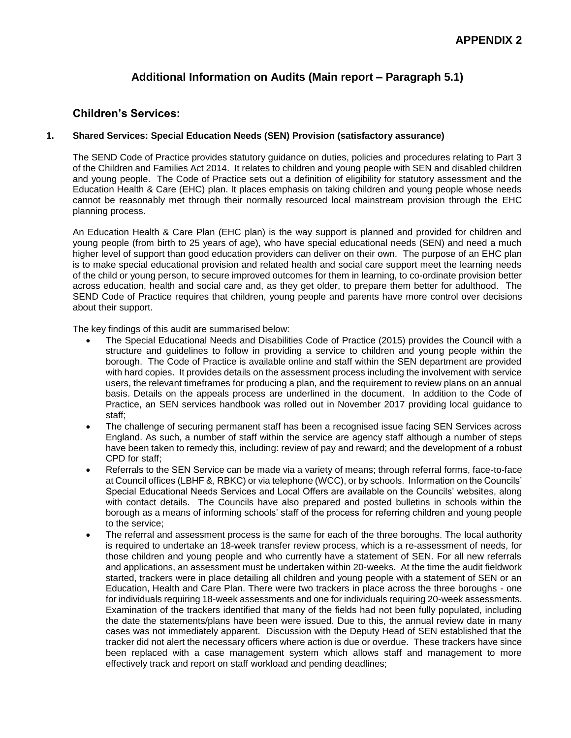# **Additional Information on Audits (Main report – Paragraph 5.1)**

#### **Children's Services:**

#### **1. Shared Services: Special Education Needs (SEN) Provision (satisfactory assurance)**

The SEND Code of Practice provides statutory guidance on duties, policies and procedures relating to Part 3 of the Children and Families Act 2014. It relates to children and young people with SEN and disabled children and young people. The Code of Practice sets out a definition of eligibility for statutory assessment and the Education Health & Care (EHC) plan. It places emphasis on taking children and young people whose needs cannot be reasonably met through their normally resourced local mainstream provision through the EHC planning process.

An Education Health & Care Plan (EHC plan) is the way support is planned and provided for children and young people (from birth to 25 years of age), who have special educational needs (SEN) and need a much higher level of support than good education providers can deliver on their own. The purpose of an EHC plan is to make special educational provision and related health and social care support meet the learning needs of the child or young person, to secure improved outcomes for them in learning, to co-ordinate provision better across education, health and social care and, as they get older, to prepare them better for adulthood. The SEND Code of Practice requires that children, young people and parents have more control over decisions about their support.

The key findings of this audit are summarised below:

- The Special Educational Needs and Disabilities Code of Practice (2015) provides the Council with a structure and guidelines to follow in providing a service to children and young people within the borough. The Code of Practice is available online and staff within the SEN department are provided with hard copies. It provides details on the assessment process including the involvement with service users, the relevant timeframes for producing a plan, and the requirement to review plans on an annual basis. Details on the appeals process are underlined in the document. In addition to the Code of Practice, an SEN services handbook was rolled out in November 2017 providing local guidance to staff;
- The challenge of securing permanent staff has been a recognised issue facing SEN Services across England. As such, a number of staff within the service are agency staff although a number of steps have been taken to remedy this, including: review of pay and reward; and the development of a robust CPD for staff;
- Referrals to the SEN Service can be made via a variety of means; through referral forms, face-to-face at Council offices (LBHF &, RBKC) or via telephone (WCC), or by schools. Information on the Councils' Special Educational Needs Services and Local Offers are available on the Councils' websites, along with contact details. The Councils have also prepared and posted bulletins in schools within the borough as a means of informing schools' staff of the process for referring children and young people to the service;
- The referral and assessment process is the same for each of the three boroughs. The local authority is required to undertake an 18-week transfer review process, which is a re-assessment of needs, for those children and young people and who currently have a statement of SEN. For all new referrals and applications, an assessment must be undertaken within 20-weeks. At the time the audit fieldwork started, trackers were in place detailing all children and young people with a statement of SEN or an Education, Health and Care Plan. There were two trackers in place across the three boroughs - one for individuals requiring 18-week assessments and one for individuals requiring 20-week assessments. Examination of the trackers identified that many of the fields had not been fully populated, including the date the statements/plans have been were issued. Due to this, the annual review date in many cases was not immediately apparent. Discussion with the Deputy Head of SEN established that the tracker did not alert the necessary officers where action is due or overdue. These trackers have since been replaced with a case management system which allows staff and management to more effectively track and report on staff workload and pending deadlines;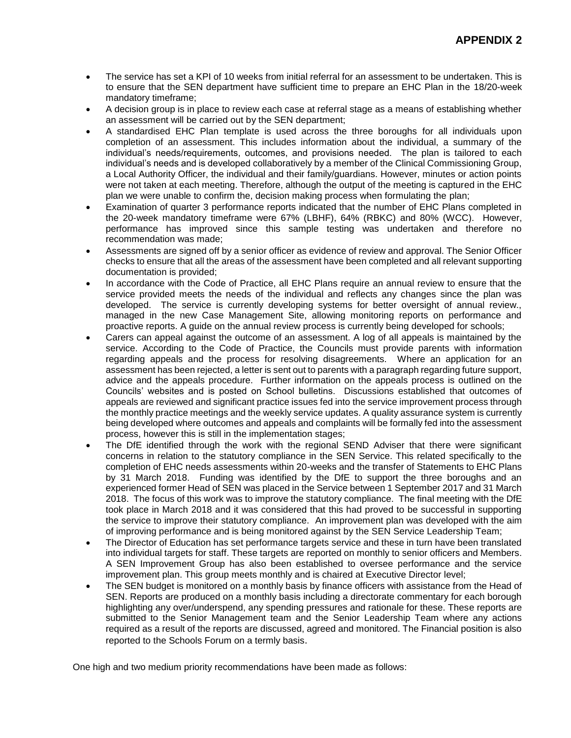- The service has set a KPI of 10 weeks from initial referral for an assessment to be undertaken. This is to ensure that the SEN department have sufficient time to prepare an EHC Plan in the 18/20-week mandatory timeframe;
- A decision group is in place to review each case at referral stage as a means of establishing whether an assessment will be carried out by the SEN department;
- A standardised EHC Plan template is used across the three boroughs for all individuals upon completion of an assessment. This includes information about the individual, a summary of the individual's needs/requirements, outcomes, and provisions needed. The plan is tailored to each individual's needs and is developed collaboratively by a member of the Clinical Commissioning Group, a Local Authority Officer, the individual and their family/guardians. However, minutes or action points were not taken at each meeting. Therefore, although the output of the meeting is captured in the EHC plan we were unable to confirm the, decision making process when formulating the plan;
- Examination of quarter 3 performance reports indicated that the number of EHC Plans completed in the 20-week mandatory timeframe were 67% (LBHF), 64% (RBKC) and 80% (WCC). However, performance has improved since this sample testing was undertaken and therefore no recommendation was made;
- Assessments are signed off by a senior officer as evidence of review and approval. The Senior Officer checks to ensure that all the areas of the assessment have been completed and all relevant supporting documentation is provided;
- In accordance with the Code of Practice, all EHC Plans require an annual review to ensure that the service provided meets the needs of the individual and reflects any changes since the plan was developed. The service is currently developing systems for better oversight of annual review., managed in the new Case Management Site, allowing monitoring reports on performance and proactive reports. A guide on the annual review process is currently being developed for schools;
- Carers can appeal against the outcome of an assessment. A log of all appeals is maintained by the service. According to the Code of Practice, the Councils must provide parents with information regarding appeals and the process for resolving disagreements. Where an application for an assessment has been rejected, a letter is sent out to parents with a paragraph regarding future support, advice and the appeals procedure. Further information on the appeals process is outlined on the Councils' websites and is posted on School bulletins. Discussions established that outcomes of appeals are reviewed and significant practice issues fed into the service improvement process through the monthly practice meetings and the weekly service updates. A quality assurance system is currently being developed where outcomes and appeals and complaints will be formally fed into the assessment process, however this is still in the implementation stages;
- The DfE identified through the work with the regional SEND Adviser that there were significant concerns in relation to the statutory compliance in the SEN Service. This related specifically to the completion of EHC needs assessments within 20-weeks and the transfer of Statements to EHC Plans by 31 March 2018. Funding was identified by the DfE to support the three boroughs and an experienced former Head of SEN was placed in the Service between 1 September 2017 and 31 March 2018. The focus of this work was to improve the statutory compliance. The final meeting with the DfE took place in March 2018 and it was considered that this had proved to be successful in supporting the service to improve their statutory compliance. An improvement plan was developed with the aim of improving performance and is being monitored against by the SEN Service Leadership Team;
- The Director of Education has set performance targets service and these in turn have been translated into individual targets for staff. These targets are reported on monthly to senior officers and Members. A SEN Improvement Group has also been established to oversee performance and the service improvement plan. This group meets monthly and is chaired at Executive Director level;
- The SEN budget is monitored on a monthly basis by finance officers with assistance from the Head of SEN. Reports are produced on a monthly basis including a directorate commentary for each borough highlighting any over/underspend, any spending pressures and rationale for these. These reports are submitted to the Senior Management team and the Senior Leadership Team where any actions required as a result of the reports are discussed, agreed and monitored. The Financial position is also reported to the Schools Forum on a termly basis.

One high and two medium priority recommendations have been made as follows: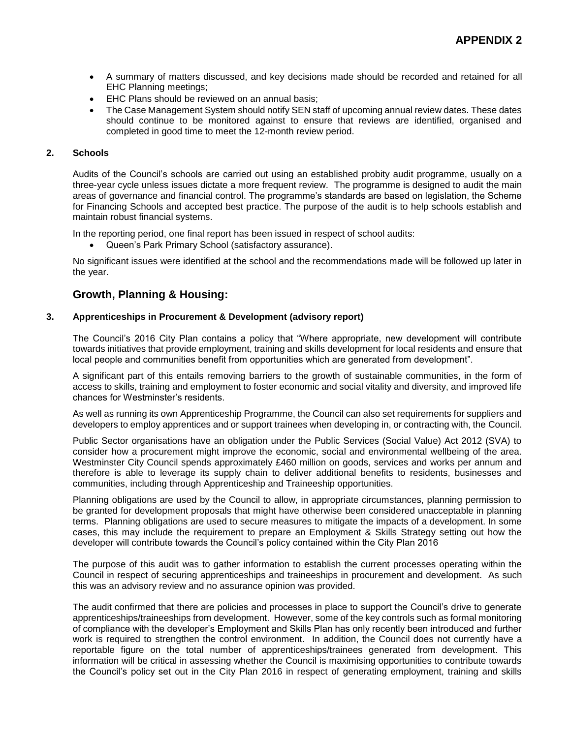- A summary of matters discussed, and key decisions made should be recorded and retained for all EHC Planning meetings;
- EHC Plans should be reviewed on an annual basis;
- The Case Management System should notify SEN staff of upcoming annual review dates. These dates should continue to be monitored against to ensure that reviews are identified, organised and completed in good time to meet the 12-month review period.

#### **2. Schools**

Audits of the Council's schools are carried out using an established probity audit programme, usually on a three-year cycle unless issues dictate a more frequent review. The programme is designed to audit the main areas of governance and financial control. The programme's standards are based on legislation, the Scheme for Financing Schools and accepted best practice. The purpose of the audit is to help schools establish and maintain robust financial systems.

In the reporting period, one final report has been issued in respect of school audits:

Queen's Park Primary School (satisfactory assurance).

No significant issues were identified at the school and the recommendations made will be followed up later in the year.

#### **Growth, Planning & Housing:**

#### **3. Apprenticeships in Procurement & Development (advisory report)**

The Council's 2016 City Plan contains a policy that "Where appropriate, new development will contribute towards initiatives that provide employment, training and skills development for local residents and ensure that local people and communities benefit from opportunities which are generated from development".

A significant part of this entails removing barriers to the growth of sustainable communities, in the form of access to skills, training and employment to foster economic and social vitality and diversity, and improved life chances for Westminster's residents.

As well as running its own Apprenticeship Programme, the Council can also set requirements for suppliers and developers to employ apprentices and or support trainees when developing in, or contracting with, the Council.

Public Sector organisations have an obligation under the Public Services (Social Value) Act 2012 (SVA) to consider how a procurement might improve the economic, social and environmental wellbeing of the area. Westminster City Council spends approximately £460 million on goods, services and works per annum and therefore is able to leverage its supply chain to deliver additional benefits to residents, businesses and communities, including through Apprenticeship and Traineeship opportunities.

Planning obligations are used by the Council to allow, in appropriate circumstances, planning permission to be granted for development proposals that might have otherwise been considered unacceptable in planning terms. Planning obligations are used to secure measures to mitigate the impacts of a development. In some cases, this may include the requirement to prepare an Employment & Skills Strategy setting out how the developer will contribute towards the Council's policy contained within the City Plan 2016

The purpose of this audit was to gather information to establish the current processes operating within the Council in respect of securing apprenticeships and traineeships in procurement and development. As such this was an advisory review and no assurance opinion was provided.

The audit confirmed that there are policies and processes in place to support the Council's drive to generate apprenticeships/traineeships from development. However, some of the key controls such as formal monitoring of compliance with the developer's Employment and Skills Plan has only recently been introduced and further work is required to strengthen the control environment. In addition, the Council does not currently have a reportable figure on the total number of apprenticeships/trainees generated from development. This information will be critical in assessing whether the Council is maximising opportunities to contribute towards the Council's policy set out in the City Plan 2016 in respect of generating employment, training and skills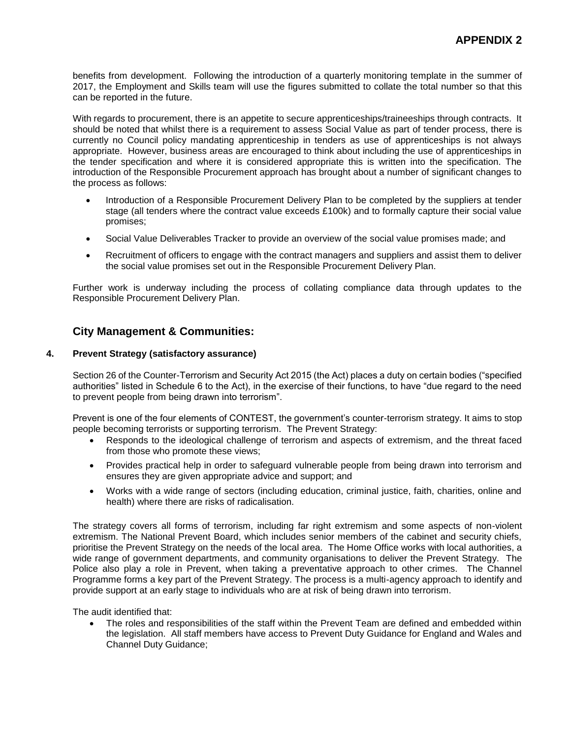benefits from development. Following the introduction of a quarterly monitoring template in the summer of 2017, the Employment and Skills team will use the figures submitted to collate the total number so that this can be reported in the future.

With regards to procurement, there is an appetite to secure apprenticeships/traineeships through contracts. It should be noted that whilst there is a requirement to assess Social Value as part of tender process, there is currently no Council policy mandating apprenticeship in tenders as use of apprenticeships is not always appropriate. However, business areas are encouraged to think about including the use of apprenticeships in the tender specification and where it is considered appropriate this is written into the specification. The introduction of the Responsible Procurement approach has brought about a number of significant changes to the process as follows:

- Introduction of a Responsible Procurement Delivery Plan to be completed by the suppliers at tender stage (all tenders where the contract value exceeds £100k) and to formally capture their social value promises;
- Social Value Deliverables Tracker to provide an overview of the social value promises made; and
- Recruitment of officers to engage with the contract managers and suppliers and assist them to deliver the social value promises set out in the Responsible Procurement Delivery Plan.

Further work is underway including the process of collating compliance data through updates to the Responsible Procurement Delivery Plan.

### **City Management & Communities:**

#### **4. Prevent Strategy (satisfactory assurance)**

Section 26 of the Counter-Terrorism and Security Act 2015 (the Act) places a duty on certain bodies ("specified authorities" listed in Schedule 6 to the Act), in the exercise of their functions, to have "due regard to the need to prevent people from being drawn into terrorism".

Prevent is one of the four elements of CONTEST, the government's counter-terrorism strategy. It aims to stop people becoming terrorists or supporting terrorism. The Prevent Strategy:

- Responds to the ideological challenge of terrorism and aspects of extremism, and the threat faced from those who promote these views;
- Provides practical help in order to safeguard vulnerable people from being drawn into terrorism and ensures they are given appropriate advice and support; and
- Works with a wide range of sectors (including education, criminal justice, faith, charities, online and health) where there are risks of radicalisation.

The strategy covers all forms of terrorism, including far right extremism and some aspects of non-violent extremism. The National Prevent Board, which includes senior members of the cabinet and security chiefs, prioritise the Prevent Strategy on the needs of the local area. The Home Office works with local authorities, a wide range of government departments, and community organisations to deliver the Prevent Strategy. The Police also play a role in Prevent, when taking a preventative approach to other crimes. The Channel Programme forms a key part of the Prevent Strategy. The process is a multi-agency approach to identify and provide support at an early stage to individuals who are at risk of being drawn into terrorism.

The audit identified that:

 The roles and responsibilities of the staff within the Prevent Team are defined and embedded within the legislation. All staff members have access to Prevent Duty Guidance for England and Wales and Channel Duty Guidance;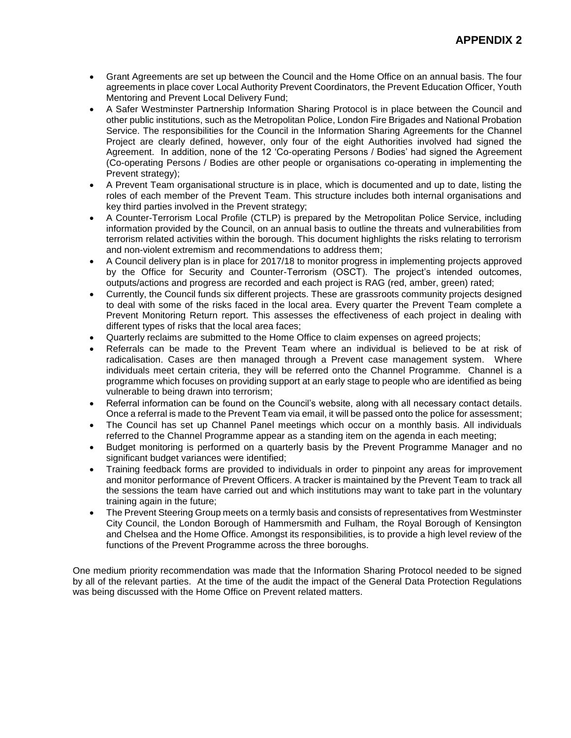- Grant Agreements are set up between the Council and the Home Office on an annual basis. The four agreements in place cover Local Authority Prevent Coordinators, the Prevent Education Officer, Youth Mentoring and Prevent Local Delivery Fund;
- A Safer Westminster Partnership Information Sharing Protocol is in place between the Council and other public institutions, such as the Metropolitan Police, London Fire Brigades and National Probation Service. The responsibilities for the Council in the Information Sharing Agreements for the Channel Project are clearly defined, however, only four of the eight Authorities involved had signed the Agreement. In addition, none of the 12 'Co-operating Persons / Bodies' had signed the Agreement (Co-operating Persons / Bodies are other people or organisations co-operating in implementing the Prevent strategy);
- A Prevent Team organisational structure is in place, which is documented and up to date, listing the roles of each member of the Prevent Team. This structure includes both internal organisations and key third parties involved in the Prevent strategy;
- A Counter-Terrorism Local Profile (CTLP) is prepared by the Metropolitan Police Service, including information provided by the Council, on an annual basis to outline the threats and vulnerabilities from terrorism related activities within the borough. This document highlights the risks relating to terrorism and non-violent extremism and recommendations to address them;
- A Council delivery plan is in place for 2017/18 to monitor progress in implementing projects approved by the Office for Security and Counter-Terrorism (OSCT). The project's intended outcomes, outputs/actions and progress are recorded and each project is RAG (red, amber, green) rated;
- Currently, the Council funds six different projects. These are grassroots community projects designed to deal with some of the risks faced in the local area. Every quarter the Prevent Team complete a Prevent Monitoring Return report. This assesses the effectiveness of each project in dealing with different types of risks that the local area faces;
- Quarterly reclaims are submitted to the Home Office to claim expenses on agreed projects;
- Referrals can be made to the Prevent Team where an individual is believed to be at risk of radicalisation. Cases are then managed through a Prevent case management system. Where individuals meet certain criteria, they will be referred onto the Channel Programme. Channel is a programme which focuses on providing support at an early stage to people who are identified as being vulnerable to being drawn into terrorism;
- Referral information can be found on the Council's website, along with all necessary contact details. Once a referral is made to the Prevent Team via email, it will be passed onto the police for assessment;
- The Council has set up Channel Panel meetings which occur on a monthly basis. All individuals referred to the Channel Programme appear as a standing item on the agenda in each meeting;
- Budget monitoring is performed on a quarterly basis by the Prevent Programme Manager and no significant budget variances were identified;
- Training feedback forms are provided to individuals in order to pinpoint any areas for improvement and monitor performance of Prevent Officers. A tracker is maintained by the Prevent Team to track all the sessions the team have carried out and which institutions may want to take part in the voluntary training again in the future;
- The Prevent Steering Group meets on a termly basis and consists of representatives from Westminster City Council, the London Borough of Hammersmith and Fulham, the Royal Borough of Kensington and Chelsea and the Home Office. Amongst its responsibilities, is to provide a high level review of the functions of the Prevent Programme across the three boroughs.

One medium priority recommendation was made that the Information Sharing Protocol needed to be signed by all of the relevant parties. At the time of the audit the impact of the General Data Protection Regulations was being discussed with the Home Office on Prevent related matters.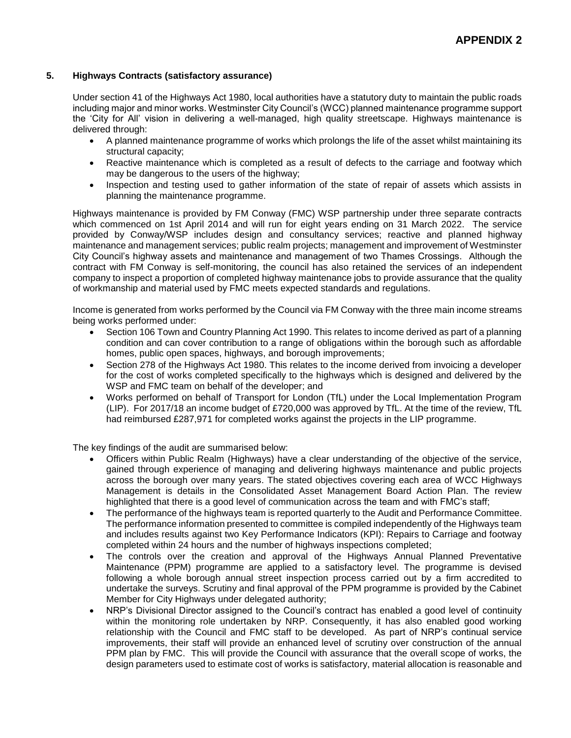#### **5. Highways Contracts (satisfactory assurance)**

Under section 41 of the Highways Act 1980, local authorities have a statutory duty to maintain the public roads including major and minor works. Westminster City Council's (WCC) planned maintenance programme support the 'City for All' vision in delivering a well-managed, high quality streetscape. Highways maintenance is delivered through:

- A planned maintenance programme of works which prolongs the life of the asset whilst maintaining its structural capacity;
- Reactive maintenance which is completed as a result of defects to the carriage and footway which may be dangerous to the users of the highway;
- Inspection and testing used to gather information of the state of repair of assets which assists in planning the maintenance programme.

Highways maintenance is provided by FM Conway (FMC) WSP partnership under three separate contracts which commenced on 1st April 2014 and will run for eight years ending on 31 March 2022. The service provided by Conway/WSP includes design and consultancy services; reactive and planned highway maintenance and management services; public realm projects; management and improvement of Westminster City Council's highway assets and maintenance and management of two Thames Crossings. Although the contract with FM Conway is self-monitoring, the council has also retained the services of an independent company to inspect a proportion of completed highway maintenance jobs to provide assurance that the quality of workmanship and material used by FMC meets expected standards and regulations.

Income is generated from works performed by the Council via FM Conway with the three main income streams being works performed under:

- Section 106 Town and Country Planning Act 1990. This relates to income derived as part of a planning condition and can cover contribution to a range of obligations within the borough such as affordable homes, public open spaces, highways, and borough improvements;
- Section 278 of the Highways Act 1980. This relates to the income derived from invoicing a developer for the cost of works completed specifically to the highways which is designed and delivered by the WSP and FMC team on behalf of the developer; and
- Works performed on behalf of Transport for London (TfL) under the Local Implementation Program (LIP). For 2017/18 an income budget of £720,000 was approved by TfL. At the time of the review, TfL had reimbursed £287,971 for completed works against the projects in the LIP programme.

The key findings of the audit are summarised below:

- Officers within Public Realm (Highways) have a clear understanding of the objective of the service, gained through experience of managing and delivering highways maintenance and public projects across the borough over many years. The stated objectives covering each area of WCC Highways Management is details in the Consolidated Asset Management Board Action Plan. The review highlighted that there is a good level of communication across the team and with FMC's staff;
- The performance of the highways team is reported quarterly to the Audit and Performance Committee. The performance information presented to committee is compiled independently of the Highways team and includes results against two Key Performance Indicators (KPI): Repairs to Carriage and footway completed within 24 hours and the number of highways inspections completed;
- The controls over the creation and approval of the Highways Annual Planned Preventative Maintenance (PPM) programme are applied to a satisfactory level. The programme is devised following a whole borough annual street inspection process carried out by a firm accredited to undertake the surveys. Scrutiny and final approval of the PPM programme is provided by the Cabinet Member for City Highways under delegated authority;
- NRP's Divisional Director assigned to the Council's contract has enabled a good level of continuity within the monitoring role undertaken by NRP. Consequently, it has also enabled good working relationship with the Council and FMC staff to be developed. As part of NRP's continual service improvements, their staff will provide an enhanced level of scrutiny over construction of the annual PPM plan by FMC. This will provide the Council with assurance that the overall scope of works, the design parameters used to estimate cost of works is satisfactory, material allocation is reasonable and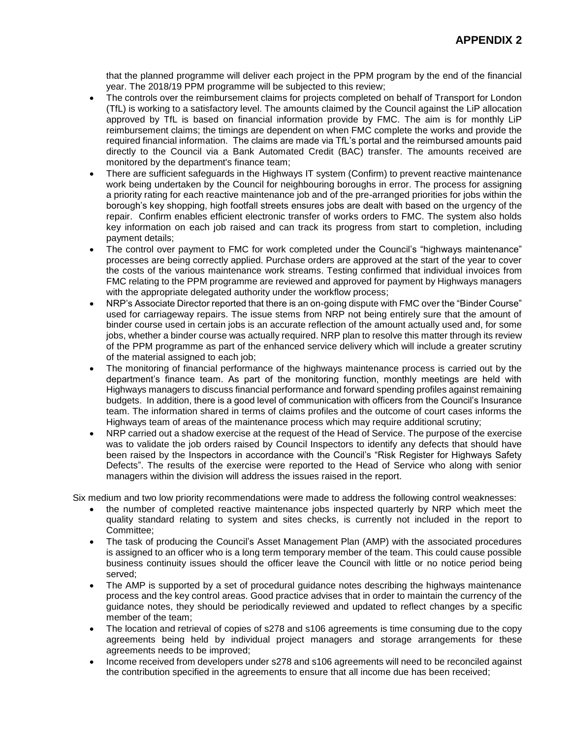that the planned programme will deliver each project in the PPM program by the end of the financial year. The 2018/19 PPM programme will be subjected to this review;

- The controls over the reimbursement claims for projects completed on behalf of Transport for London (TfL) is working to a satisfactory level. The amounts claimed by the Council against the LiP allocation approved by TfL is based on financial information provide by FMC. The aim is for monthly LiP reimbursement claims; the timings are dependent on when FMC complete the works and provide the required financial information. The claims are made via TfL's portal and the reimbursed amounts paid directly to the Council via a Bank Automated Credit (BAC) transfer. The amounts received are monitored by the department's finance team;
- There are sufficient safeguards in the Highways IT system (Confirm) to prevent reactive maintenance work being undertaken by the Council for neighbouring boroughs in error. The process for assigning a priority rating for each reactive maintenance job and of the pre-arranged priorities for jobs within the borough's key shopping, high footfall streets ensures jobs are dealt with based on the urgency of the repair. Confirm enables efficient electronic transfer of works orders to FMC. The system also holds key information on each job raised and can track its progress from start to completion, including payment details;
- The control over payment to FMC for work completed under the Council's "highways maintenance" processes are being correctly applied. Purchase orders are approved at the start of the year to cover the costs of the various maintenance work streams. Testing confirmed that individual invoices from FMC relating to the PPM programme are reviewed and approved for payment by Highways managers with the appropriate delegated authority under the workflow process;
- NRP's Associate Director reported that there is an on-going dispute with FMC over the "Binder Course" used for carriageway repairs. The issue stems from NRP not being entirely sure that the amount of binder course used in certain jobs is an accurate reflection of the amount actually used and, for some jobs, whether a binder course was actually required. NRP plan to resolve this matter through its review of the PPM programme as part of the enhanced service delivery which will include a greater scrutiny of the material assigned to each job;
- The monitoring of financial performance of the highways maintenance process is carried out by the department's finance team. As part of the monitoring function, monthly meetings are held with Highways managers to discuss financial performance and forward spending profiles against remaining budgets. In addition, there is a good level of communication with officers from the Council's Insurance team. The information shared in terms of claims profiles and the outcome of court cases informs the Highways team of areas of the maintenance process which may require additional scrutiny;
- NRP carried out a shadow exercise at the request of the Head of Service. The purpose of the exercise was to validate the job orders raised by Council Inspectors to identify any defects that should have been raised by the Inspectors in accordance with the Council's "Risk Register for Highways Safety Defects". The results of the exercise were reported to the Head of Service who along with senior managers within the division will address the issues raised in the report.

Six medium and two low priority recommendations were made to address the following control weaknesses:

- the number of completed reactive maintenance jobs inspected quarterly by NRP which meet the quality standard relating to system and sites checks, is currently not included in the report to Committee;
- The task of producing the Council's Asset Management Plan (AMP) with the associated procedures is assigned to an officer who is a long term temporary member of the team. This could cause possible business continuity issues should the officer leave the Council with little or no notice period being served;
- The AMP is supported by a set of procedural guidance notes describing the highways maintenance process and the key control areas. Good practice advises that in order to maintain the currency of the guidance notes, they should be periodically reviewed and updated to reflect changes by a specific member of the team;
- The location and retrieval of copies of s278 and s106 agreements is time consuming due to the copy agreements being held by individual project managers and storage arrangements for these agreements needs to be improved;
- Income received from developers under s278 and s106 agreements will need to be reconciled against the contribution specified in the agreements to ensure that all income due has been received;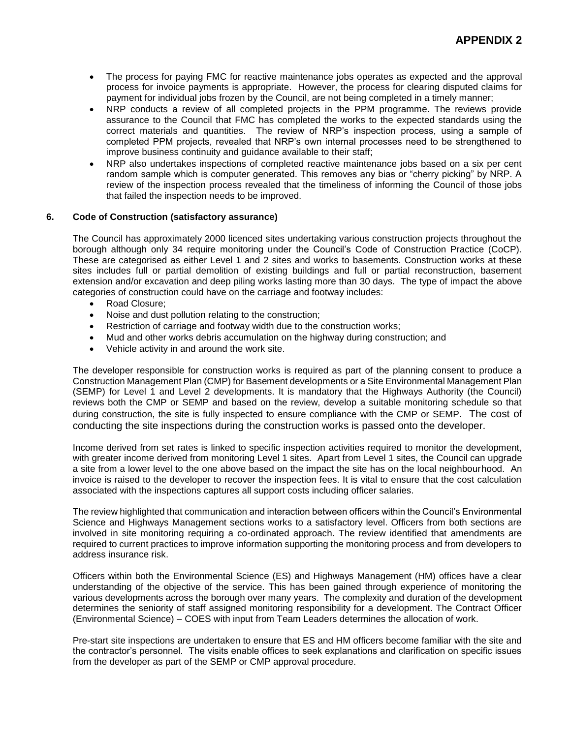- The process for paying FMC for reactive maintenance jobs operates as expected and the approval process for invoice payments is appropriate. However, the process for clearing disputed claims for payment for individual jobs frozen by the Council, are not being completed in a timely manner;
- NRP conducts a review of all completed projects in the PPM programme. The reviews provide assurance to the Council that FMC has completed the works to the expected standards using the correct materials and quantities. The review of NRP's inspection process, using a sample of completed PPM projects, revealed that NRP's own internal processes need to be strengthened to improve business continuity and guidance available to their staff;
- NRP also undertakes inspections of completed reactive maintenance jobs based on a six per cent random sample which is computer generated. This removes any bias or "cherry picking" by NRP. A review of the inspection process revealed that the timeliness of informing the Council of those jobs that failed the inspection needs to be improved.

#### **6. Code of Construction (satisfactory assurance)**

The Council has approximately 2000 licenced sites undertaking various construction projects throughout the borough although only 34 require monitoring under the Council's Code of Construction Practice (CoCP). These are categorised as either Level 1 and 2 sites and works to basements. Construction works at these sites includes full or partial demolition of existing buildings and full or partial reconstruction, basement extension and/or excavation and deep piling works lasting more than 30 days. The type of impact the above categories of construction could have on the carriage and footway includes:

- Road Closure;
- Noise and dust pollution relating to the construction;
- Restriction of carriage and footway width due to the construction works;
- Mud and other works debris accumulation on the highway during construction; and
- Vehicle activity in and around the work site.

The developer responsible for construction works is required as part of the planning consent to produce a Construction Management Plan (CMP) for Basement developments or a Site Environmental Management Plan (SEMP) for Level 1 and Level 2 developments. It is mandatory that the Highways Authority (the Council) reviews both the CMP or SEMP and based on the review, develop a suitable monitoring schedule so that during construction, the site is fully inspected to ensure compliance with the CMP or SEMP. The cost of conducting the site inspections during the construction works is passed onto the developer.

Income derived from set rates is linked to specific inspection activities required to monitor the development, with greater income derived from monitoring Level 1 sites. Apart from Level 1 sites, the Council can upgrade a site from a lower level to the one above based on the impact the site has on the local neighbourhood. An invoice is raised to the developer to recover the inspection fees. It is vital to ensure that the cost calculation associated with the inspections captures all support costs including officer salaries.

The review highlighted that communication and interaction between officers within the Council's Environmental Science and Highways Management sections works to a satisfactory level. Officers from both sections are involved in site monitoring requiring a co-ordinated approach. The review identified that amendments are required to current practices to improve information supporting the monitoring process and from developers to address insurance risk.

Officers within both the Environmental Science (ES) and Highways Management (HM) offices have a clear understanding of the objective of the service. This has been gained through experience of monitoring the various developments across the borough over many years. The complexity and duration of the development determines the seniority of staff assigned monitoring responsibility for a development. The Contract Officer (Environmental Science) – COES with input from Team Leaders determines the allocation of work.

Pre-start site inspections are undertaken to ensure that ES and HM officers become familiar with the site and the contractor's personnel. The visits enable offices to seek explanations and clarification on specific issues from the developer as part of the SEMP or CMP approval procedure.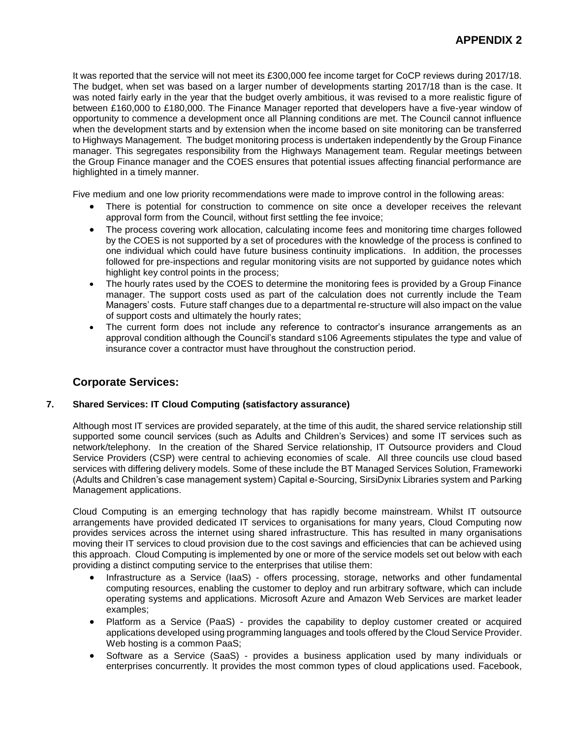It was reported that the service will not meet its £300,000 fee income target for CoCP reviews during 2017/18. The budget, when set was based on a larger number of developments starting 2017/18 than is the case. It was noted fairly early in the year that the budget overly ambitious, it was revised to a more realistic figure of between £160,000 to £180,000. The Finance Manager reported that developers have a five-year window of opportunity to commence a development once all Planning conditions are met. The Council cannot influence when the development starts and by extension when the income based on site monitoring can be transferred to Highways Management. The budget monitoring process is undertaken independently by the Group Finance manager. This segregates responsibility from the Highways Management team. Regular meetings between the Group Finance manager and the COES ensures that potential issues affecting financial performance are highlighted in a timely manner.

Five medium and one low priority recommendations were made to improve control in the following areas:

- There is potential for construction to commence on site once a developer receives the relevant approval form from the Council, without first settling the fee invoice;
- The process covering work allocation, calculating income fees and monitoring time charges followed by the COES is not supported by a set of procedures with the knowledge of the process is confined to one individual which could have future business continuity implications. In addition, the processes followed for pre-inspections and regular monitoring visits are not supported by guidance notes which highlight key control points in the process;
- The hourly rates used by the COES to determine the monitoring fees is provided by a Group Finance manager. The support costs used as part of the calculation does not currently include the Team Managers' costs. Future staff changes due to a departmental re-structure will also impact on the value of support costs and ultimately the hourly rates;
- The current form does not include any reference to contractor's insurance arrangements as an approval condition although the Council's standard s106 Agreements stipulates the type and value of insurance cover a contractor must have throughout the construction period.

# **Corporate Services:**

#### **7. Shared Services: IT Cloud Computing (satisfactory assurance)**

Although most IT services are provided separately, at the time of this audit, the shared service relationship still supported some council services (such as Adults and Children's Services) and some IT services such as network/telephony. In the creation of the Shared Service relationship, IT Outsource providers and Cloud Service Providers (CSP) were central to achieving economies of scale. All three councils use cloud based services with differing delivery models. Some of these include the BT Managed Services Solution, Frameworki (Adults and Children's case management system) Capital e-Sourcing, SirsiDynix Libraries system and Parking Management applications.

Cloud Computing is an emerging technology that has rapidly become mainstream. Whilst IT outsource arrangements have provided dedicated IT services to organisations for many years, Cloud Computing now provides services across the internet using shared infrastructure. This has resulted in many organisations moving their IT services to cloud provision due to the cost savings and efficiencies that can be achieved using this approach. Cloud Computing is implemented by one or more of the service models set out below with each providing a distinct computing service to the enterprises that utilise them:

- Infrastructure as a Service (IaaS) offers processing, storage, networks and other fundamental computing resources, enabling the customer to deploy and run arbitrary software, which can include operating systems and applications. Microsoft Azure and Amazon Web Services are market leader examples;
- Platform as a Service (PaaS) provides the capability to deploy customer created or acquired applications developed using programming languages and tools offered by the Cloud Service Provider. Web hosting is a common PaaS;
- Software as a Service (SaaS) provides a business application used by many individuals or enterprises concurrently. It provides the most common types of cloud applications used. Facebook,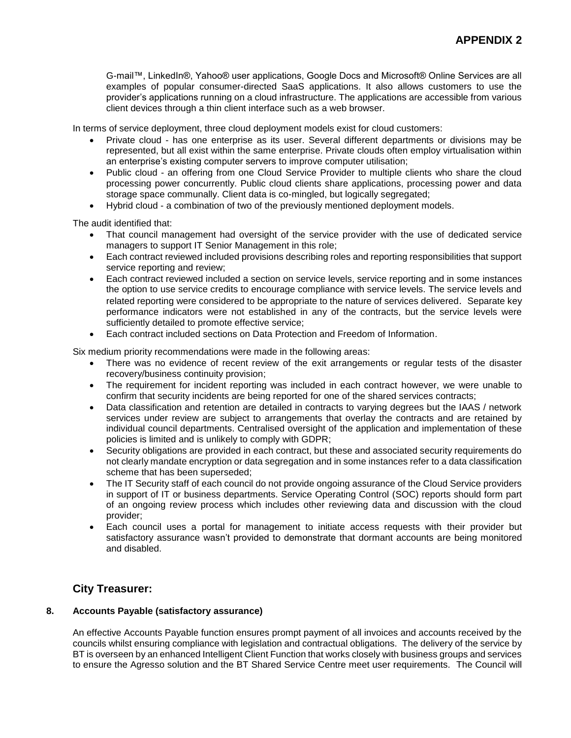G-mail™, LinkedIn®, Yahoo® user applications, Google Docs and Microsoft® Online Services are all examples of popular consumer-directed SaaS applications. It also allows customers to use the provider's applications running on a cloud infrastructure. The applications are accessible from various client devices through a thin client interface such as a web browser.

In terms of service deployment, three cloud deployment models exist for cloud customers:

- Private cloud has one enterprise as its user. Several different departments or divisions may be represented, but all exist within the same enterprise. Private clouds often employ virtualisation within an enterprise's existing computer servers to improve computer utilisation;
- Public cloud an offering from one Cloud Service Provider to multiple clients who share the cloud processing power concurrently. Public cloud clients share applications, processing power and data storage space communally. Client data is co-mingled, but logically segregated;
- Hybrid cloud a combination of two of the previously mentioned deployment models.

The audit identified that:

- That council management had oversight of the service provider with the use of dedicated service managers to support IT Senior Management in this role;
- Each contract reviewed included provisions describing roles and reporting responsibilities that support service reporting and review;
- Each contract reviewed included a section on service levels, service reporting and in some instances the option to use service credits to encourage compliance with service levels. The service levels and related reporting were considered to be appropriate to the nature of services delivered. Separate key performance indicators were not established in any of the contracts, but the service levels were sufficiently detailed to promote effective service;
- Each contract included sections on Data Protection and Freedom of Information.

Six medium priority recommendations were made in the following areas:

- There was no evidence of recent review of the exit arrangements or regular tests of the disaster recovery/business continuity provision;
- The requirement for incident reporting was included in each contract however, we were unable to confirm that security incidents are being reported for one of the shared services contracts;
- Data classification and retention are detailed in contracts to varying degrees but the IAAS / network services under review are subject to arrangements that overlay the contracts and are retained by individual council departments. Centralised oversight of the application and implementation of these policies is limited and is unlikely to comply with GDPR;
- Security obligations are provided in each contract, but these and associated security requirements do not clearly mandate encryption or data segregation and in some instances refer to a data classification scheme that has been superseded;
- The IT Security staff of each council do not provide ongoing assurance of the Cloud Service providers in support of IT or business departments. Service Operating Control (SOC) reports should form part of an ongoing review process which includes other reviewing data and discussion with the cloud provider;
- Each council uses a portal for management to initiate access requests with their provider but satisfactory assurance wasn't provided to demonstrate that dormant accounts are being monitored and disabled.

#### **City Treasurer:**

#### **8. Accounts Payable (satisfactory assurance)**

An effective Accounts Payable function ensures prompt payment of all invoices and accounts received by the councils whilst ensuring compliance with legislation and contractual obligations. The delivery of the service by BT is overseen by an enhanced Intelligent Client Function that works closely with business groups and services to ensure the Agresso solution and the BT Shared Service Centre meet user requirements. The Council will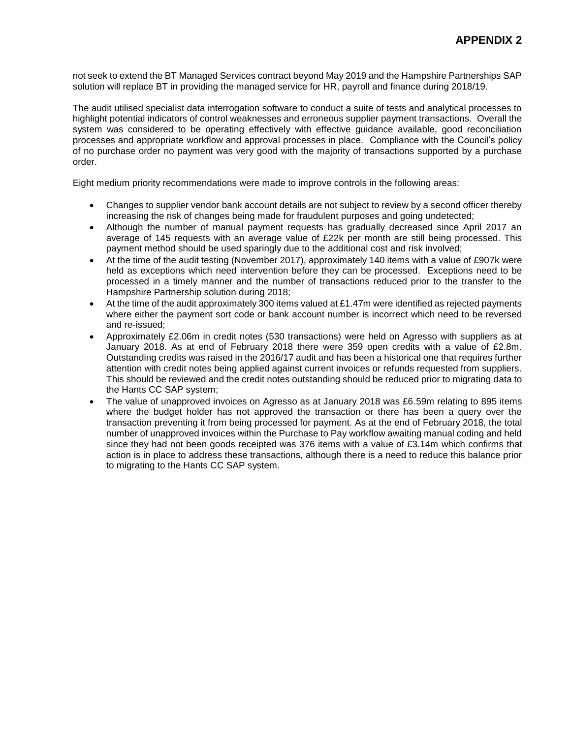not seek to extend the BT Managed Services contract beyond May 2019 and the Hampshire Partnerships SAP solution will replace BT in providing the managed service for HR, payroll and finance during 2018/19.

The audit utilised specialist data interrogation software to conduct a suite of tests and analytical processes to highlight potential indicators of control weaknesses and erroneous supplier payment transactions. Overall the system was considered to be operating effectively with effective guidance available, good reconciliation processes and appropriate workflow and approval processes in place. Compliance with the Council's policy of no purchase order no payment was very good with the majority of transactions supported by a purchase order.

Eight medium priority recommendations were made to improve controls in the following areas:

- Changes to supplier vendor bank account details are not subject to review by a second officer thereby increasing the risk of changes being made for fraudulent purposes and going undetected;
- Although the number of manual payment requests has gradually decreased since April 2017 an average of 145 requests with an average value of £22k per month are still being processed. This payment method should be used sparingly due to the additional cost and risk involved;
- At the time of the audit testing (November 2017), approximately 140 items with a value of £907k were held as exceptions which need intervention before they can be processed. Exceptions need to be processed in a timely manner and the number of transactions reduced prior to the transfer to the Hampshire Partnership solution during 2018;
- At the time of the audit approximately 300 items valued at £1.47m were identified as rejected payments where either the payment sort code or bank account number is incorrect which need to be reversed and re-issued;
- Approximately £2.06m in credit notes (530 transactions) were held on Agresso with suppliers as at January 2018. As at end of February 2018 there were 359 open credits with a value of £2.8m. Outstanding credits was raised in the 2016/17 audit and has been a historical one that requires further attention with credit notes being applied against current invoices or refunds requested from suppliers. This should be reviewed and the credit notes outstanding should be reduced prior to migrating data to the Hants CC SAP system;
- The value of unapproved invoices on Agresso as at January 2018 was £6.59m relating to 895 items where the budget holder has not approved the transaction or there has been a query over the transaction preventing it from being processed for payment. As at the end of February 2018, the total number of unapproved invoices within the Purchase to Pay workflow awaiting manual coding and held since they had not been goods receipted was 376 items with a value of £3.14m which confirms that action is in place to address these transactions, although there is a need to reduce this balance prior to migrating to the Hants CC SAP system.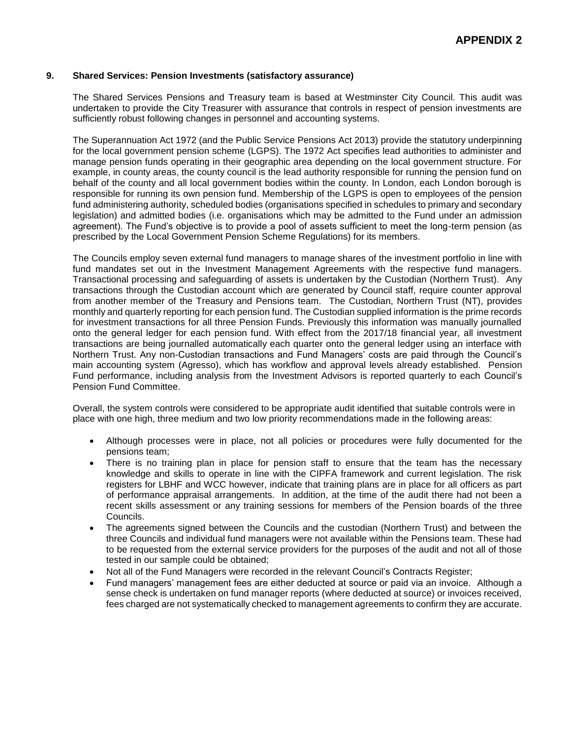#### **9. Shared Services: Pension Investments (satisfactory assurance)**

The Shared Services Pensions and Treasury team is based at Westminster City Council. This audit was undertaken to provide the City Treasurer with assurance that controls in respect of pension investments are sufficiently robust following changes in personnel and accounting systems.

The Superannuation Act 1972 (and the Public Service Pensions Act 2013) provide the statutory underpinning for the local government pension scheme (LGPS). The 1972 Act specifies lead authorities to administer and manage pension funds operating in their geographic area depending on the local government structure. For example, in county areas, the county council is the lead authority responsible for running the pension fund on behalf of the county and all local government bodies within the county. In London, each London borough is responsible for running its own pension fund. Membership of the LGPS is open to employees of the pension fund administering authority, scheduled bodies (organisations specified in schedules to primary and secondary legislation) and admitted bodies (i.e. organisations which may be admitted to the Fund under an admission agreement). The Fund's objective is to provide a pool of assets sufficient to meet the long-term pension (as prescribed by the Local Government Pension Scheme Regulations) for its members.

The Councils employ seven external fund managers to manage shares of the investment portfolio in line with fund mandates set out in the Investment Management Agreements with the respective fund managers. Transactional processing and safeguarding of assets is undertaken by the Custodian (Northern Trust). Any transactions through the Custodian account which are generated by Council staff, require counter approval from another member of the Treasury and Pensions team. The Custodian, Northern Trust (NT), provides monthly and quarterly reporting for each pension fund. The Custodian supplied information is the prime records for investment transactions for all three Pension Funds. Previously this information was manually journalled onto the general ledger for each pension fund. With effect from the 2017/18 financial year, all investment transactions are being journalled automatically each quarter onto the general ledger using an interface with Northern Trust. Any non-Custodian transactions and Fund Managers' costs are paid through the Council's main accounting system (Agresso), which has workflow and approval levels already established. Pension Fund performance, including analysis from the Investment Advisors is reported quarterly to each Council's Pension Fund Committee.

Overall, the system controls were considered to be appropriate audit identified that suitable controls were in place with one high, three medium and two low priority recommendations made in the following areas:

- Although processes were in place, not all policies or procedures were fully documented for the pensions team;
- There is no training plan in place for pension staff to ensure that the team has the necessary knowledge and skills to operate in line with the CIPFA framework and current legislation. The risk registers for LBHF and WCC however, indicate that training plans are in place for all officers as part of performance appraisal arrangements. In addition, at the time of the audit there had not been a recent skills assessment or any training sessions for members of the Pension boards of the three Councils.
- The agreements signed between the Councils and the custodian (Northern Trust) and between the three Councils and individual fund managers were not available within the Pensions team. These had to be requested from the external service providers for the purposes of the audit and not all of those tested in our sample could be obtained;
- Not all of the Fund Managers were recorded in the relevant Council's Contracts Register;
- Fund managers' management fees are either deducted at source or paid via an invoice. Although a sense check is undertaken on fund manager reports (where deducted at source) or invoices received, fees charged are not systematically checked to management agreements to confirm they are accurate.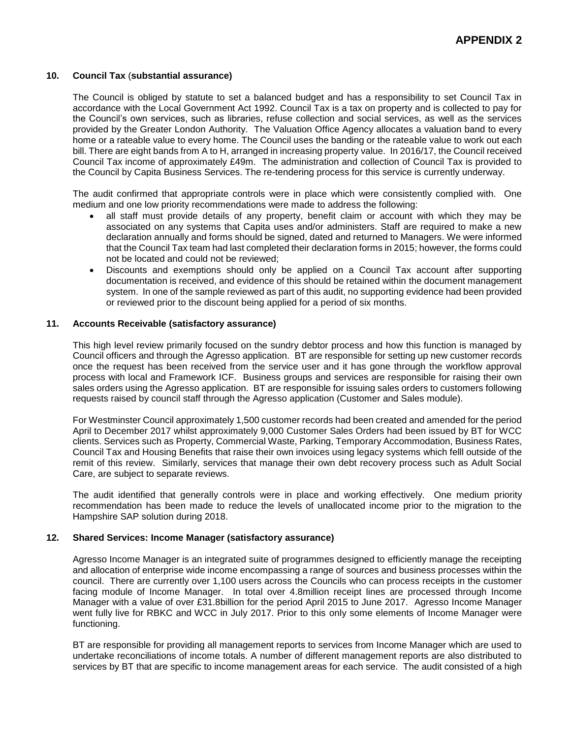#### **10. Council Tax** (**substantial assurance)**

The Council is obliged by statute to set a balanced budget and has a responsibility to set Council Tax in accordance with the Local Government Act 1992. Council Tax is a tax on property and is collected to pay for the Council's own services, such as libraries, refuse collection and social services, as well as the services provided by the Greater London Authority. The Valuation Office Agency allocates a valuation band to every home or a rateable value to every home. The Council uses the banding or the rateable value to work out each bill. There are eight bands from A to H, arranged in increasing property value. In 2016/17, the Council received Council Tax income of approximately £49m. The administration and collection of Council Tax is provided to the Council by Capita Business Services. The re-tendering process for this service is currently underway.

The audit confirmed that appropriate controls were in place which were consistently complied with. One medium and one low priority recommendations were made to address the following:

- all staff must provide details of any property, benefit claim or account with which they may be associated on any systems that Capita uses and/or administers. Staff are required to make a new declaration annually and forms should be signed, dated and returned to Managers. We were informed that the Council Tax team had last completed their declaration forms in 2015; however, the forms could not be located and could not be reviewed;
- Discounts and exemptions should only be applied on a Council Tax account after supporting documentation is received, and evidence of this should be retained within the document management system. In one of the sample reviewed as part of this audit, no supporting evidence had been provided or reviewed prior to the discount being applied for a period of six months.

#### **11. Accounts Receivable (satisfactory assurance)**

This high level review primarily focused on the sundry debtor process and how this function is managed by Council officers and through the Agresso application. BT are responsible for setting up new customer records once the request has been received from the service user and it has gone through the workflow approval process with local and Framework ICF. Business groups and services are responsible for raising their own sales orders using the Agresso application. BT are responsible for issuing sales orders to customers following requests raised by council staff through the Agresso application (Customer and Sales module).

For Westminster Council approximately 1,500 customer records had been created and amended for the period April to December 2017 whilst approximately 9,000 Customer Sales Orders had been issued by BT for WCC clients. Services such as Property, Commercial Waste, Parking, Temporary Accommodation, Business Rates, Council Tax and Housing Benefits that raise their own invoices using legacy systems which felll outside of the remit of this review. Similarly, services that manage their own debt recovery process such as Adult Social Care, are subject to separate reviews.

The audit identified that generally controls were in place and working effectively. One medium priority recommendation has been made to reduce the levels of unallocated income prior to the migration to the Hampshire SAP solution during 2018.

#### **12. Shared Services: Income Manager (satisfactory assurance)**

Agresso Income Manager is an integrated suite of programmes designed to efficiently manage the receipting and allocation of enterprise wide income encompassing a range of sources and business processes within the council. There are currently over 1,100 users across the Councils who can process receipts in the customer facing module of Income Manager. In total over 4.8million receipt lines are processed through Income Manager with a value of over £31.8billion for the period April 2015 to June 2017. Agresso Income Manager went fully live for RBKC and WCC in July 2017. Prior to this only some elements of Income Manager were functioning.

BT are responsible for providing all management reports to services from Income Manager which are used to undertake reconciliations of income totals. A number of different management reports are also distributed to services by BT that are specific to income management areas for each service. The audit consisted of a high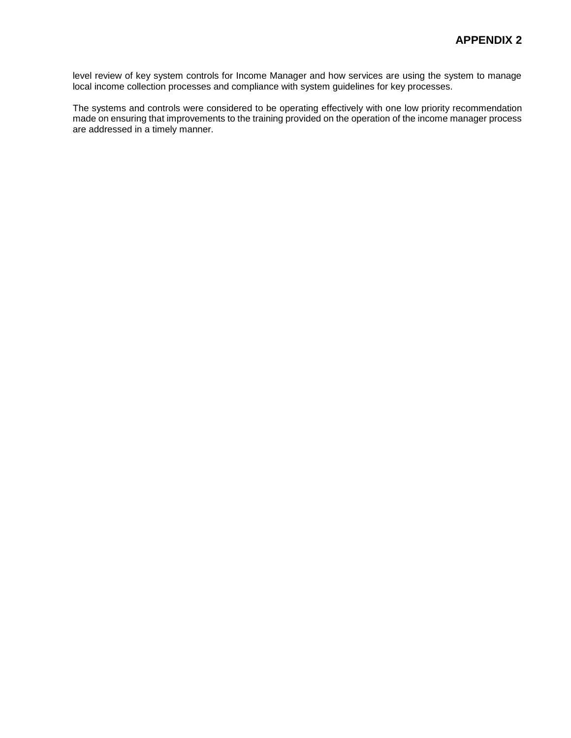level review of key system controls for Income Manager and how services are using the system to manage local income collection processes and compliance with system guidelines for key processes.

The systems and controls were considered to be operating effectively with one low priority recommendation made on ensuring that improvements to the training provided on the operation of the income manager process are addressed in a timely manner.